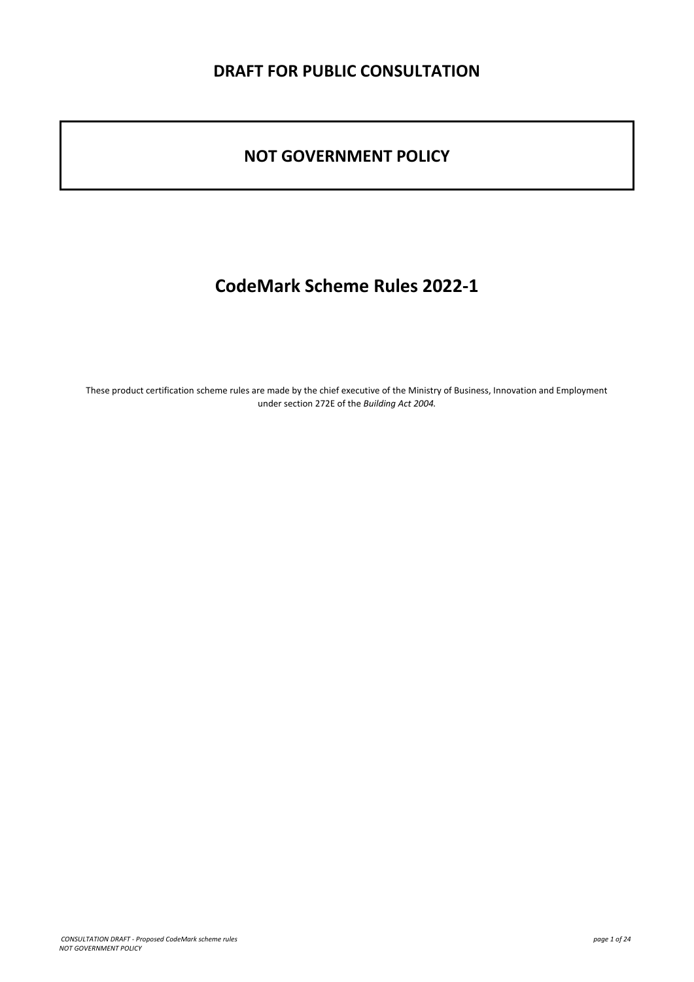*CONSULTATION DRAFT - Proposed CodeMark scheme rules page 1 of 24 NOT GOVERNMENT POLICY*

# **DRAFT FOR PUBLIC CONSULTATION**

# **NOT GOVERNMENT POLICY**

# **CodeMark Scheme Rules 2022-1**

These product certification scheme rules are made by the chief executive of the Ministry of Business, Innovation and Employment under section 272E of the *Building Act 2004.*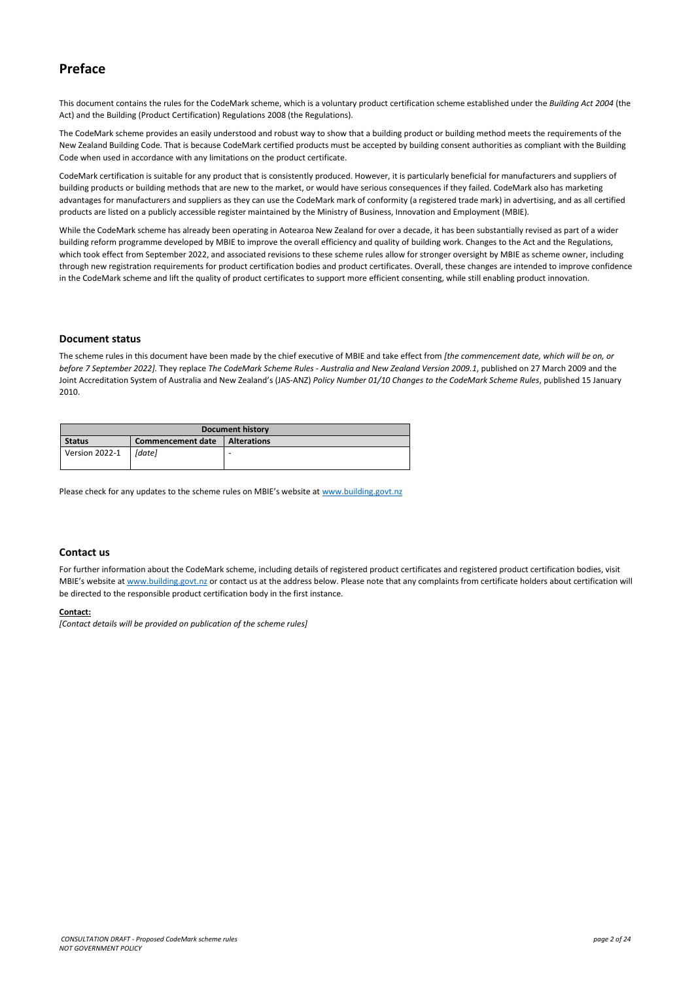*CONSULTATION DRAFT - Proposed CodeMark scheme rules page 2 of 24 NOT GOVERNMENT POLICY*

### **Preface**

This document contains the rules for the CodeMark scheme, which is a voluntary product certification scheme established under the *Building Act 2004* (the Act) and the Building (Product Certification) Regulations 2008 (the Regulations).

The CodeMark scheme provides an easily understood and robust way to show that a building product or building method meets the requirements of the New Zealand Building Code. That is because CodeMark certified products must be accepted by building consent authorities as compliant with the Building Code when used in accordance with any limitations on the product certificate.

CodeMark certification is suitable for any product that is consistently produced. However, it is particularly beneficial for manufacturers and suppliers of building products or building methods that are new to the market, or would have serious consequences if they failed. CodeMark also has marketing advantages for manufacturers and suppliers as they can use the CodeMark mark of conformity (a registered trade mark) in advertising, and as all certified products are listed on a publicly accessible register maintained by the Ministry of Business, Innovation and Employment (MBIE).

While the CodeMark scheme has already been operating in Aotearoa New Zealand for over a decade, it has been substantially revised as part of a wider building reform programme developed by MBIE to improve the overall efficiency and quality of building work. Changes to the Act and the Regulations, which took effect from September 2022, and associated revisions to these scheme rules allow for stronger oversight by MBIE as scheme owner, including through new registration requirements for product certification bodies and product certificates. Overall, these changes are intended to improve confidence in the CodeMark scheme and lift the quality of product certificates to support more efficient consenting, while still enabling product innovation.

### **Document status**

The scheme rules in this document have been made by the chief executive of MBIE and take effect from *[the commencement date, which will be on, or before 7 September 2022].* They replace *The CodeMark Scheme Rules - Australia and New Zealand Version 2009.1*, published on 27 March 2009 and the Joint Accreditation System of Australia and New Zealand's (JAS-ANZ) *Policy Number 01/10 Changes to the CodeMark Scheme Rules*, published 15 January 2010.

| <b>Document history</b> |                   |             |
|-------------------------|-------------------|-------------|
| <b>Status</b>           | Commencement date | Alterations |
| Version 2022-1          | [date]            |             |

Please check for any updates to the scheme rules on MBIE's website at [www.building.govt.nz](http://www.building.govt.nz/)

### **Contact us**

For further information about the CodeMark scheme, including details of registered product certificates and registered product certification bodies, visit MBIE's website at [www.building.govt.nz](http://www.building.govt.nz/) or contact us at the address below. Please note that any complaints from certificate holders about certification will be directed to the responsible product certification body in the first instance.

### **Contact:**

*[Contact details will be provided on publication of the scheme rules]*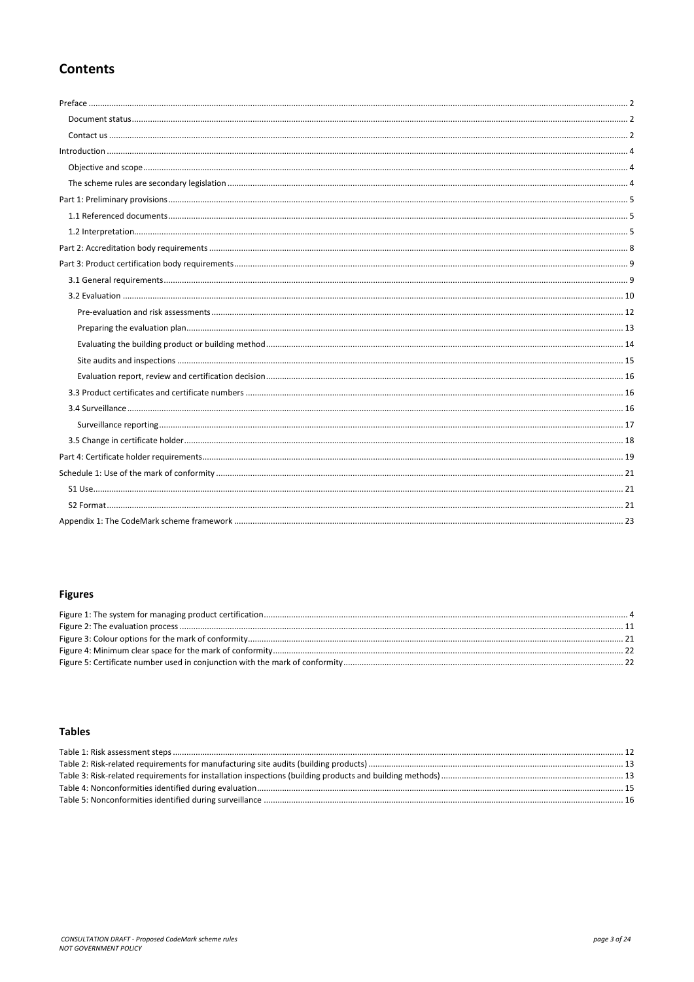# **Contents**

### **Figures**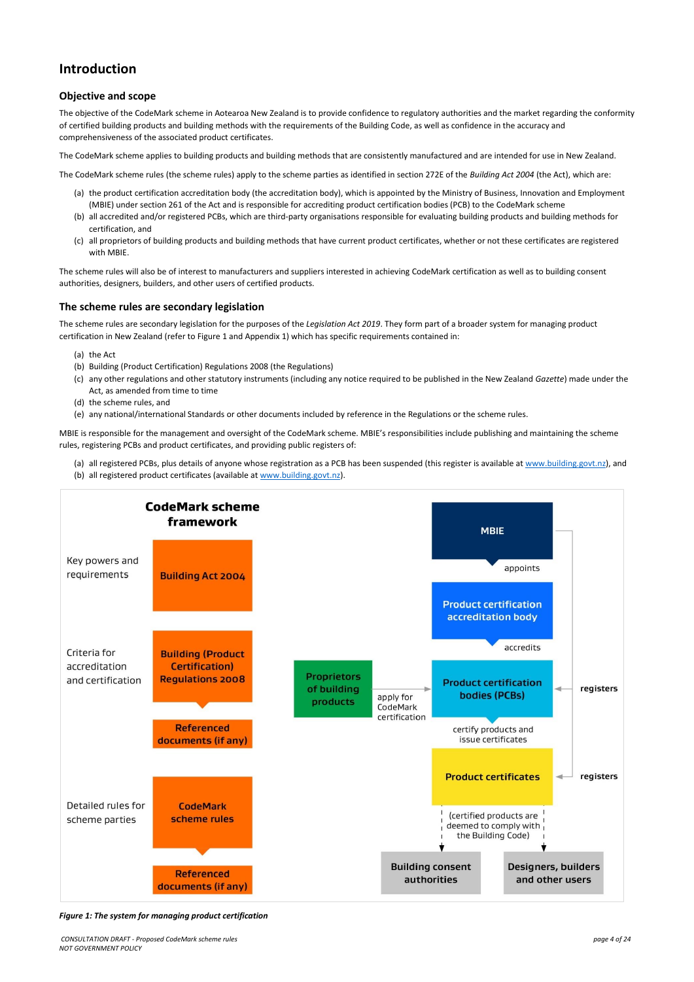*CONSULTATION DRAFT - Proposed CodeMark scheme rules page 4 of 24 NOT GOVERNMENT POLICY*

## **Introduction**

### **Objective and scope**

The objective of the CodeMark scheme in Aotearoa New Zealand is to provide confidence to regulatory authorities and the market regarding the conformity of certified building products and building methods with the requirements of the Building Code, as well as confidence in the accuracy and comprehensiveness of the associated product certificates.

The CodeMark scheme applies to building products and building methods that are consistently manufactured and are intended for use in New Zealand.

The CodeMark scheme rules (the scheme rules) apply to the scheme parties as identified in section 272E of the *Building Act 2004* (the Act), which are:

- (a) the product certification accreditation body (the accreditation body), which is appointed by the Ministry of Business, Innovation and Employment (MBIE) under section 261 of the Act and is responsible for accrediting product certification bodies (PCB) to the CodeMark scheme
- (b) all accredited and/or registered PCBs, which are third-party organisations responsible for evaluating building products and building methods for certification, and
- (c) all proprietors of building products and building methods that have current product certificates, whether or not these certificates are registered with MBIE.

- (a) all registered PCBs, plus details of anyone whose registration as a PCB has been suspended (this register is available at [www.building.govt.nz\)](http://www.building.govt.nz/), and
- (b) all registered product certificates (available a[t www.building.govt.nz\)](http://www.building.govt.nz/).



The scheme rules will also be of interest to manufacturers and suppliers interested in achieving CodeMark certification as well as to building consent authorities, designers, builders, and other users of certified products.

### **The scheme rules are secondary legislation**

The scheme rules are secondary legislation for the purposes of the *Legislation Act 2019*. They form part of a broader system for managing product certification in New Zealand (refer t[o Figure 1](#page-3-0) and Appendix 1) which has specific requirements contained in:

- (a) the Act
- (b) Building (Product Certification) Regulations 2008 (the Regulations)
- (c) any other regulations and other statutory instruments (including any notice required to be published in the New Zealand *Gazette*) made under the Act, as amended from time to time
- (d) the scheme rules, and
- (e) any national/international Standards or other documents included by reference in the Regulations or the scheme rules.

MBIE is responsible for the management and oversight of the CodeMark scheme. MBIE's responsibilities include publishing and maintaining the scheme rules, registering PCBs and product certificates, and providing public registers of:

<span id="page-3-0"></span>*Figure 1: The system for managing product certification*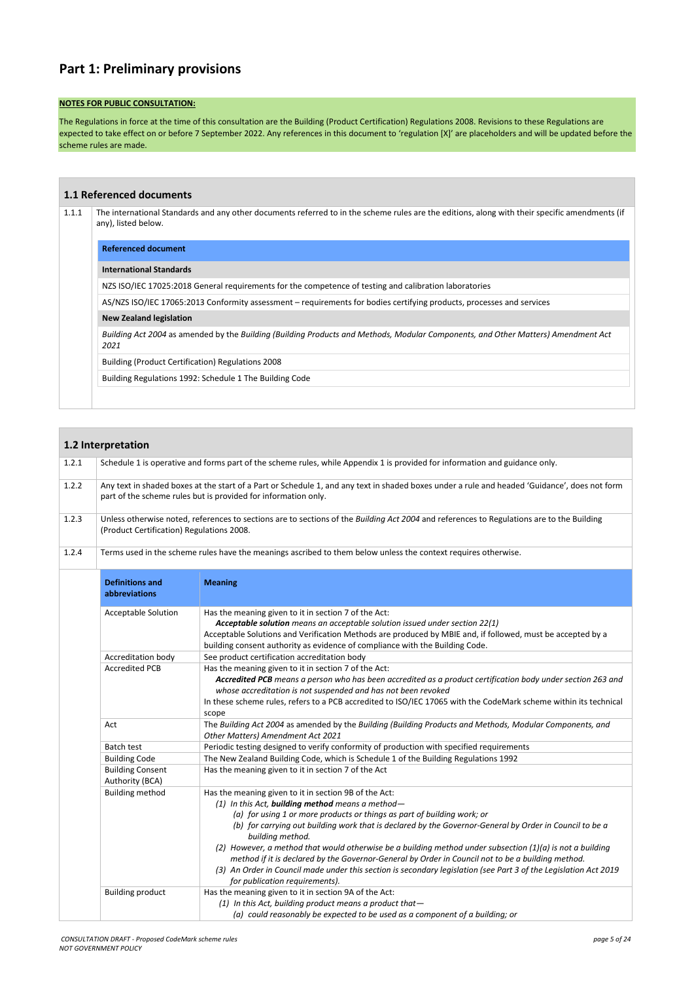# **Part 1: Preliminary provisions**

### **NOTES FOR PUBLIC CONSULTATION:**

The Regulations in force at the time of this consultation are the Building (Product Certification) Regulations 2008. Revisions to these Regulations are expected to take effect on or before 7 September 2022. Any references in this document to 'regulation [X]' are placeholders and will be updated before the scheme rules are made.

|       | 1.1 Referenced documents                                                                                                                                              |  |  |
|-------|-----------------------------------------------------------------------------------------------------------------------------------------------------------------------|--|--|
| 1.1.1 | The international Standards and any other documents referred to in the scheme rules are the editions, along with their specific amendments (if<br>any), listed below. |  |  |
|       | <b>Referenced document</b>                                                                                                                                            |  |  |
|       | <b>International Standards</b>                                                                                                                                        |  |  |
|       | NZS ISO/IEC 17025:2018 General requirements for the competence of testing and calibration laboratories                                                                |  |  |
|       | AS/NZS ISO/IEC 17065:2013 Conformity assessment – requirements for bodies certifying products, processes and services                                                 |  |  |
|       | <b>New Zealand legislation</b>                                                                                                                                        |  |  |
|       | Building Act 2004 as amended by the Building (Building Products and Methods, Modular Components, and Other Matters) Amendment Act<br>2021                             |  |  |
|       | <b>Building (Product Certification) Regulations 2008</b>                                                                                                              |  |  |
|       | Building Regulations 1992: Schedule 1 The Building Code                                                                                                               |  |  |
|       |                                                                                                                                                                       |  |  |

| 1.2 Interpretation |                                           |                                                                                                                                                                                                                                                                                                                                                                   |
|--------------------|-------------------------------------------|-------------------------------------------------------------------------------------------------------------------------------------------------------------------------------------------------------------------------------------------------------------------------------------------------------------------------------------------------------------------|
| 1.2.1              |                                           | Schedule 1 is operative and forms part of the scheme rules, while Appendix 1 is provided for information and guidance only.                                                                                                                                                                                                                                       |
| 1.2.2              |                                           | Any text in shaded boxes at the start of a Part or Schedule 1, and any text in shaded boxes under a rule and headed 'Guidance', does not form<br>part of the scheme rules but is provided for information only.                                                                                                                                                   |
| 1.2.3              | (Product Certification) Regulations 2008. | Unless otherwise noted, references to sections are to sections of the Building Act 2004 and references to Regulations are to the Building                                                                                                                                                                                                                         |
| 1.2.4              |                                           | Terms used in the scheme rules have the meanings ascribed to them below unless the context requires otherwise.                                                                                                                                                                                                                                                    |
|                    | <b>Definitions and</b><br>abbreviations   | <b>Meaning</b>                                                                                                                                                                                                                                                                                                                                                    |
|                    | <b>Acceptable Solution</b>                | Has the meaning given to it in section 7 of the Act:<br>Acceptable solution means an acceptable solution issued under section 22(1)<br>Acceptable Solutions and Verification Methods are produced by MBIE and, if followed, must be accepted by a<br>building consent authority as evidence of compliance with the Building Code.                                 |
|                    | Accreditation body                        | See product certification accreditation body                                                                                                                                                                                                                                                                                                                      |
|                    | <b>Accredited PCB</b>                     | Has the meaning given to it in section 7 of the Act:<br>Accredited PCB means a person who has been accredited as a product certification body under section 263 and<br>whose accreditation is not suspended and has not been revoked<br>In these scheme rules, refers to a PCB accredited to ISO/IEC 17065 with the CodeMark scheme within its technical<br>scope |
|                    | Act                                       | The Building Act 2004 as amended by the Building (Building Products and Methods, Modular Components, and                                                                                                                                                                                                                                                          |

*Other Matters) Amendment Act 2021*

| Batch test                                 | Periodic testing designed to verify conformity of production with specified requirements                                                                                                                         |
|--------------------------------------------|------------------------------------------------------------------------------------------------------------------------------------------------------------------------------------------------------------------|
| <b>Building Code</b>                       | The New Zealand Building Code, which is Schedule 1 of the Building Regulations 1992                                                                                                                              |
| <b>Building Consent</b><br>Authority (BCA) | Has the meaning given to it in section 7 of the Act                                                                                                                                                              |
| <b>Building method</b>                     | Has the meaning given to it in section 9B of the Act:                                                                                                                                                            |
|                                            | $(1)$ In this Act, building method means a method-                                                                                                                                                               |
|                                            | (a) for using 1 or more products or things as part of building work; or                                                                                                                                          |
|                                            | (b) for carrying out building work that is declared by the Governor-General by Order in Council to be a<br>building method.                                                                                      |
|                                            | (2) However, a method that would otherwise be a building method under subsection $(1)(a)$ is not a building<br>method if it is declared by the Governor-General by Order in Council not to be a building method. |
|                                            | (3) An Order in Council made under this section is secondary legislation (see Part 3 of the Legislation Act 2019<br>for publication requirements).                                                               |
| <b>Building product</b>                    | Has the meaning given to it in section 9A of the Act:                                                                                                                                                            |
|                                            | (1) In this Act, building product means a product that $-$                                                                                                                                                       |
|                                            | (a) could reasonably be expected to be used as a component of a building; or                                                                                                                                     |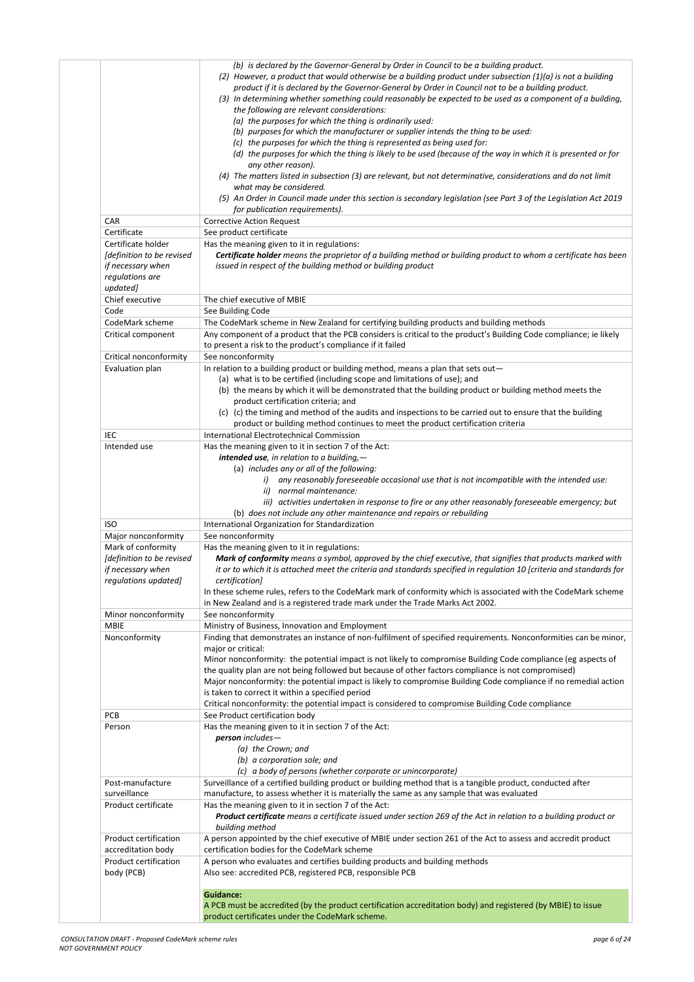| Product certification<br>body (PCB)       | A person who evaluates and certifies building products and building methods<br>Also see: accredited PCB, registered PCB, responsible PCB                                                                                                                               |
|-------------------------------------------|------------------------------------------------------------------------------------------------------------------------------------------------------------------------------------------------------------------------------------------------------------------------|
|                                           |                                                                                                                                                                                                                                                                        |
|                                           |                                                                                                                                                                                                                                                                        |
| accreditation body                        | certification bodies for the CodeMark scheme                                                                                                                                                                                                                           |
| Product certification                     | Product certificate means a certificate issued under section 269 of the Act in relation to a building product or<br>building method<br>A person appointed by the chief executive of MBIE under section 261 of the Act to assess and accredit product                   |
| Product certificate                       | Has the meaning given to it in section 7 of the Act:                                                                                                                                                                                                                   |
| Post-manufacture<br>surveillance          | (c) a body of persons (whether corporate or unincorporate)<br>Surveillance of a certified building product or building method that is a tangible product, conducted after<br>manufacture, to assess whether it is materially the same as any sample that was evaluated |
|                                           | (b) a corporation sole; and                                                                                                                                                                                                                                            |
|                                           | (a) the Crown; and                                                                                                                                                                                                                                                     |
| Person                                    | Has the meaning given to it in section 7 of the Act:<br>person includes-                                                                                                                                                                                               |
| <b>PCB</b>                                | See Product certification body                                                                                                                                                                                                                                         |
|                                           | Critical nonconformity: the potential impact is considered to compromise Building Code compliance                                                                                                                                                                      |
|                                           | is taken to correct it within a specified period                                                                                                                                                                                                                       |
|                                           | the quality plan are not being followed but because of other factors compliance is not compromised)<br>Major nonconformity: the potential impact is likely to compromise Building Code compliance if no remedial action                                                |
|                                           | Minor nonconformity: the potential impact is not likely to compromise Building Code compliance (eg aspects of                                                                                                                                                          |
|                                           | major or critical:                                                                                                                                                                                                                                                     |
| <b>MBIE</b><br>Nonconformity              | Ministry of Business, Innovation and Employment<br>Finding that demonstrates an instance of non-fulfilment of specified requirements. Nonconformities can be minor,                                                                                                    |
| Minor nonconformity                       | See nonconformity                                                                                                                                                                                                                                                      |
|                                           | in New Zealand and is a registered trade mark under the Trade Marks Act 2002.                                                                                                                                                                                          |
|                                           | In these scheme rules, refers to the CodeMark mark of conformity which is associated with the CodeMark scheme                                                                                                                                                          |
| if necessary when<br>regulations updated] | it or to which it is attached meet the criteria and standards specified in regulation 10 [criteria and standards for<br>certification]                                                                                                                                 |
| [definition to be revised                 | Mark of conformity means a symbol, approved by the chief executive, that signifies that products marked with                                                                                                                                                           |
| Mark of conformity                        | Has the meaning given to it in regulations:                                                                                                                                                                                                                            |
| Major nonconformity                       | See nonconformity                                                                                                                                                                                                                                                      |
| <b>ISO</b>                                | (b) does not include any other maintenance and repairs or rebuilding<br>International Organization for Standardization                                                                                                                                                 |
|                                           | iii) activities undertaken in response to fire or any other reasonably foreseeable emergency; but                                                                                                                                                                      |
|                                           | normal maintenance:<br>ii)                                                                                                                                                                                                                                             |
|                                           | any reasonably foreseeable occasional use that is not incompatible with the intended use:<br>i)                                                                                                                                                                        |
|                                           | intended use, in relation to a building, $-$<br>(a) includes any or all of the following:                                                                                                                                                                              |
| Intended use                              | Has the meaning given to it in section 7 of the Act:                                                                                                                                                                                                                   |
| <b>IEC</b>                                | International Electrotechnical Commission                                                                                                                                                                                                                              |
|                                           | product or building method continues to meet the product certification criteria                                                                                                                                                                                        |
|                                           | product certification criteria; and<br>(c) (c) the timing and method of the audits and inspections to be carried out to ensure that the building                                                                                                                       |
|                                           | (b) the means by which it will be demonstrated that the building product or building method meets the                                                                                                                                                                  |
|                                           | (a) what is to be certified (including scope and limitations of use); and                                                                                                                                                                                              |
| Evaluation plan                           | In relation to a building product or building method, means a plan that sets out-                                                                                                                                                                                      |
| Critical nonconformity                    | to present a risk to the product's compliance if it failed<br>See nonconformity                                                                                                                                                                                        |
| Critical component                        | Any component of a product that the PCB considers is critical to the product's Building Code compliance; ie likely                                                                                                                                                     |
| CodeMark scheme                           | The CodeMark scheme in New Zealand for certifying building products and building methods                                                                                                                                                                               |
| Code                                      | See Building Code                                                                                                                                                                                                                                                      |
| updated]<br>Chief executive               | The chief executive of MBIE                                                                                                                                                                                                                                            |
| regulations are                           |                                                                                                                                                                                                                                                                        |
| if necessary when                         | issued in respect of the building method or building product                                                                                                                                                                                                           |
| [definition to be revised                 | Has the meaning given to it in regulations:<br>Certificate holder means the proprietor of a building method or building product to whom a certificate has been                                                                                                         |
| Certificate<br>Certificate holder         | See product certificate                                                                                                                                                                                                                                                |
| <b>CAR</b>                                | <b>Corrective Action Request</b>                                                                                                                                                                                                                                       |
|                                           | for publication requirements).                                                                                                                                                                                                                                         |
|                                           | what may be considered.<br>(5) An Order in Council made under this section is secondary legislation (see Part 3 of the Legislation Act 2019                                                                                                                            |
|                                           | (4) The matters listed in subsection (3) are relevant, but not determinative, considerations and do not limit                                                                                                                                                          |
|                                           | any other reason).                                                                                                                                                                                                                                                     |
|                                           | (d) the purposes for which the thing is likely to be used (because of the way in which it is presented or for                                                                                                                                                          |
|                                           | (b) purposes for which the manufacturer or supplier intends the thing to be used:<br>(c) the purposes for which the thing is represented as being used for:                                                                                                            |
|                                           | (a) the purposes for which the thing is ordinarily used:                                                                                                                                                                                                               |
|                                           | the following are relevant considerations:                                                                                                                                                                                                                             |
|                                           | product if it is declared by the Governor-General by Order in Council not to be a building product.<br>(3) In determining whether something could reasonably be expected to be used as a component of a building,                                                      |
|                                           | (2) However, a product that would otherwise be a building product under subsection $(1)(a)$ is not a building                                                                                                                                                          |
|                                           | (b) is declared by the Governor-General by Order in Council to be a building product.                                                                                                                                                                                  |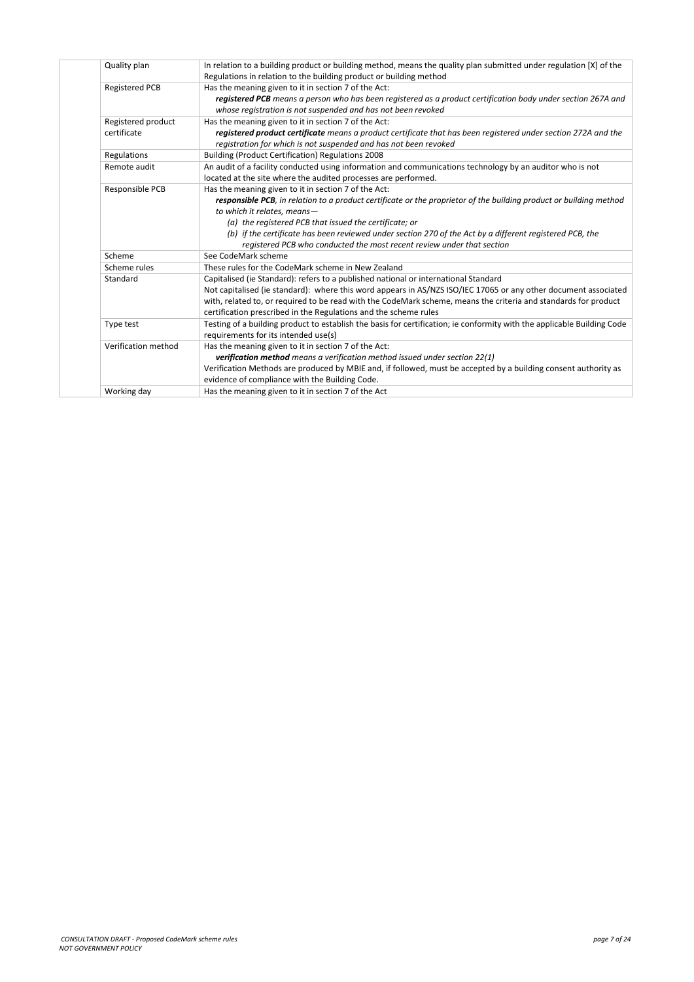*CONSULTATION DRAFT - Proposed CodeMark scheme rules page 7 of 24 NOT GOVERNMENT POLICY*

| Quality plan          | In relation to a building product or building method, means the quality plan submitted under regulation [X] of the      |
|-----------------------|-------------------------------------------------------------------------------------------------------------------------|
|                       | Regulations in relation to the building product or building method                                                      |
| <b>Registered PCB</b> | Has the meaning given to it in section 7 of the Act:                                                                    |
|                       | registered PCB means a person who has been registered as a product certification body under section 267A and            |
|                       | whose registration is not suspended and has not been revoked                                                            |
| Registered product    | Has the meaning given to it in section 7 of the Act:                                                                    |
| certificate           | registered product certificate means a product certificate that has been registered under section 272A and the          |
|                       | registration for which is not suspended and has not been revoked                                                        |
| Regulations           | <b>Building (Product Certification) Regulations 2008</b>                                                                |
| Remote audit          | An audit of a facility conducted using information and communications technology by an auditor who is not               |
|                       | located at the site where the audited processes are performed.                                                          |
| Responsible PCB       | Has the meaning given to it in section 7 of the Act:                                                                    |
|                       | responsible PCB, in relation to a product certificate or the proprietor of the building product or building method      |
|                       | to which it relates, means-                                                                                             |
|                       | (a) the registered PCB that issued the certificate; or                                                                  |
|                       | (b) if the certificate has been reviewed under section 270 of the Act by a different registered PCB, the                |
|                       | registered PCB who conducted the most recent review under that section                                                  |
| Scheme                | See CodeMark scheme                                                                                                     |
| Scheme rules          | These rules for the CodeMark scheme in New Zealand                                                                      |
| Standard              | Capitalised (ie Standard): refers to a published national or international Standard                                     |
|                       | Not capitalised (ie standard): where this word appears in AS/NZS ISO/IEC 17065 or any other document associated         |
|                       | with, related to, or required to be read with the CodeMark scheme, means the criteria and standards for product         |
|                       | certification prescribed in the Regulations and the scheme rules                                                        |
| Type test             | Testing of a building product to establish the basis for certification; ie conformity with the applicable Building Code |
|                       | requirements for its intended use(s)                                                                                    |
| Verification method   | Has the meaning given to it in section 7 of the Act:                                                                    |
|                       | verification method means a verification method issued under section 22(1)                                              |
|                       | Verification Methods are produced by MBIE and, if followed, must be accepted by a building consent authority as         |
|                       | evidence of compliance with the Building Code.                                                                          |
| Working day           | Has the meaning given to it in section 7 of the Act                                                                     |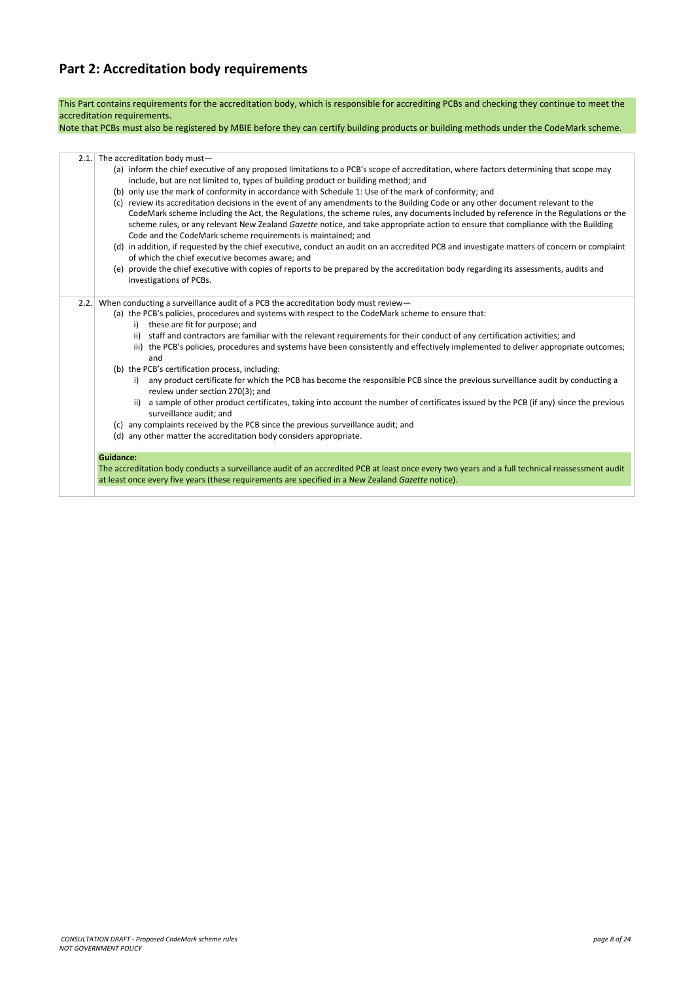*CONSULTATION DRAFT - Proposed CodeMark scheme rules page 8 of 24 NOT GOVERNMENT POLICY*

# **Part 2: Accreditation body requirements**

This Part contains requirements for the accreditation body, which is responsible for accrediting PCBs and checking they continue to meet the accreditation requirements.

Note that PCBs must also be registered by MBIE before they can certify building products or building methods under the CodeMark scheme.

| 2.1. The accreditation body must-                                                                                                                                                                                                                                                                                                                                                                                                                                            |
|------------------------------------------------------------------------------------------------------------------------------------------------------------------------------------------------------------------------------------------------------------------------------------------------------------------------------------------------------------------------------------------------------------------------------------------------------------------------------|
| (a) inform the chief executive of any proposed limitations to a PCB's scope of accreditation, where factors determining that scope may                                                                                                                                                                                                                                                                                                                                       |
| include, but are not limited to, types of building product or building method; and                                                                                                                                                                                                                                                                                                                                                                                           |
| (b) only use the mark of conformity in accordance with Schedule 1: Use of the mark of conformity; and                                                                                                                                                                                                                                                                                                                                                                        |
| (c) review its accreditation decisions in the event of any amendments to the Building Code or any other document relevant to the<br>CodeMark scheme including the Act, the Regulations, the scheme rules, any documents included by reference in the Regulations or the<br>scheme rules, or any relevant New Zealand Gazette notice, and take appropriate action to ensure that compliance with the Building<br>Code and the CodeMark scheme requirements is maintained; and |
| (d) in addition, if requested by the chief executive, conduct an audit on an accredited PCB and investigate matters of concern or complaint<br>of which the chief executive becomes aware; and                                                                                                                                                                                                                                                                               |
| (e) provide the chief executive with copies of reports to be prepared by the accreditation body regarding its assessments, audits and<br>investigations of PCBs.                                                                                                                                                                                                                                                                                                             |
| 2.2. When conducting a surveillance audit of a PCB the accreditation body must review-                                                                                                                                                                                                                                                                                                                                                                                       |
| (a) the PCB's policies, procedures and systems with respect to the CodeMark scheme to ensure that:                                                                                                                                                                                                                                                                                                                                                                           |
| i) these are fit for purpose; and                                                                                                                                                                                                                                                                                                                                                                                                                                            |
| staff and contractors are familiar with the relevant requirements for their conduct of any certification activities; and<br>ii)                                                                                                                                                                                                                                                                                                                                              |
| iii) the PCB's policies, procedures and systems have been consistently and effectively implemented to deliver appropriate outcomes;<br>and                                                                                                                                                                                                                                                                                                                                   |
| (b) the PCB's certification process, including:                                                                                                                                                                                                                                                                                                                                                                                                                              |
| any product certificate for which the PCB has become the responsible PCB since the previous surveillance audit by conducting a<br>i).<br>review under section 270(3); and                                                                                                                                                                                                                                                                                                    |
| a sample of other product certificates, taking into account the number of certificates issued by the PCB (if any) since the previous<br>ii)<br>surveillance audit; and                                                                                                                                                                                                                                                                                                       |
| (c) any complaints received by the PCB since the previous surveillance audit; and                                                                                                                                                                                                                                                                                                                                                                                            |
| (d) any other matter the accreditation body considers appropriate.                                                                                                                                                                                                                                                                                                                                                                                                           |
| <b>Guidance:</b>                                                                                                                                                                                                                                                                                                                                                                                                                                                             |
| The accreditation body conducts a surveillance audit of an accredited PCB at least once every two years and a full technical reassessment audit                                                                                                                                                                                                                                                                                                                              |
| at least once every five years (these requirements are specified in a New Zealand Gazette notice).                                                                                                                                                                                                                                                                                                                                                                           |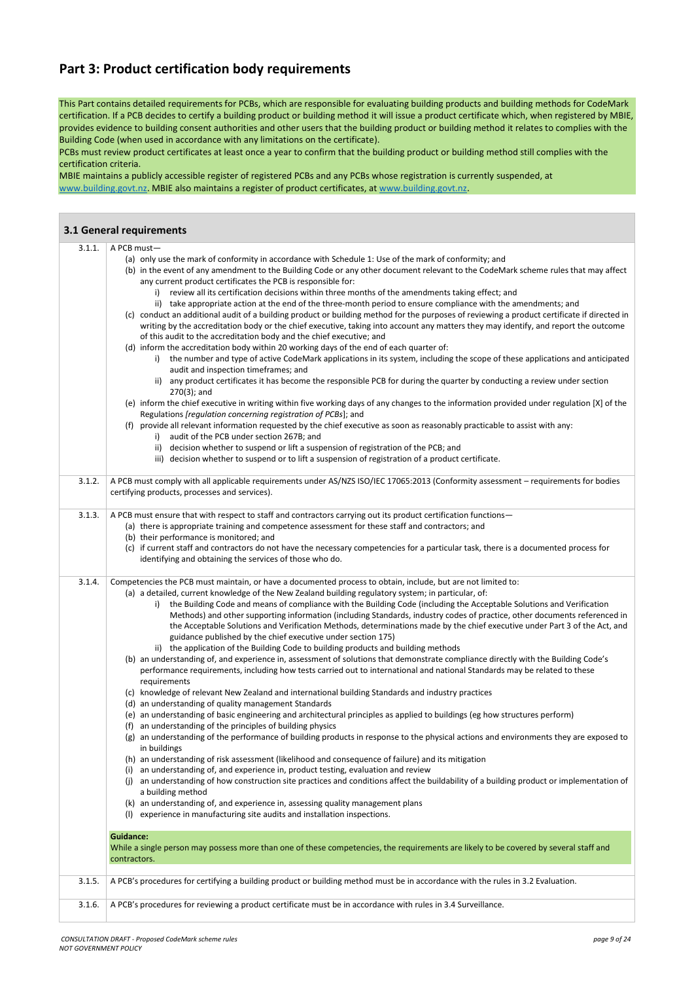### **Part 3: Product certification body requirements**

This Part contains detailed requirements for PCBs, which are responsible for evaluating building products and building methods for CodeMark certification. If a PCB decides to certify a building product or building method it will issue a product certificate which, when registered by MBIE, provides evidence to building consent authorities and other users that the building product or building method it relates to complies with the Building Code (when used in accordance with any limitations on the certificate).

PCBs must review product certificates at least once a year to confirm that the building product or building method still complies with the certification criteria.

MBIE maintains a publicly accessible register of registered PCBs and any PCBs whose registration is currently suspended, at [www.building.govt.nz.](http://www.building.govt.nz/) MBIE also maintains a register of product certificates, at [www.building.govt.nz.](http://www.building.govt.nz/)

|        | 3.1 General requirements                                                                                                                                                                                                                                                                                                                                                                                                                                                                                                                                                                                                                                                                                                                                                                                                                                                                                                                                                                                                                                                                                                                                                                                                                                                                                                                                                                                                                                                                                                                                                                                                                                                                                                                                                                                                                                                                                                                                                                                                                                                                                                                                                                                                                                                                |
|--------|-----------------------------------------------------------------------------------------------------------------------------------------------------------------------------------------------------------------------------------------------------------------------------------------------------------------------------------------------------------------------------------------------------------------------------------------------------------------------------------------------------------------------------------------------------------------------------------------------------------------------------------------------------------------------------------------------------------------------------------------------------------------------------------------------------------------------------------------------------------------------------------------------------------------------------------------------------------------------------------------------------------------------------------------------------------------------------------------------------------------------------------------------------------------------------------------------------------------------------------------------------------------------------------------------------------------------------------------------------------------------------------------------------------------------------------------------------------------------------------------------------------------------------------------------------------------------------------------------------------------------------------------------------------------------------------------------------------------------------------------------------------------------------------------------------------------------------------------------------------------------------------------------------------------------------------------------------------------------------------------------------------------------------------------------------------------------------------------------------------------------------------------------------------------------------------------------------------------------------------------------------------------------------------------|
| 3.1.1. | A PCB must-<br>(a) only use the mark of conformity in accordance with Schedule 1: Use of the mark of conformity; and<br>(b) in the event of any amendment to the Building Code or any other document relevant to the CodeMark scheme rules that may affect<br>any current product certificates the PCB is responsible for:<br>review all its certification decisions within three months of the amendments taking effect; and<br>i)<br>ii) take appropriate action at the end of the three-month period to ensure compliance with the amendments; and<br>(c) conduct an additional audit of a building product or building method for the purposes of reviewing a product certificate if directed in<br>writing by the accreditation body or the chief executive, taking into account any matters they may identify, and report the outcome<br>of this audit to the accreditation body and the chief executive; and<br>(d) inform the accreditation body within 20 working days of the end of each quarter of:<br>the number and type of active CodeMark applications in its system, including the scope of these applications and anticipated<br>i)<br>audit and inspection timeframes; and<br>ii) any product certificates it has become the responsible PCB for during the quarter by conducting a review under section<br>$270(3)$ ; and<br>(e) inform the chief executive in writing within five working days of any changes to the information provided under regulation [X] of the<br>Regulations [regulation concerning registration of PCBs]; and<br>(f) provide all relevant information requested by the chief executive as soon as reasonably practicable to assist with any:<br>audit of the PCB under section 267B; and<br>i)<br>decision whether to suspend or lift a suspension of registration of the PCB; and<br>ii)<br>iii) decision whether to suspend or to lift a suspension of registration of a product certificate.                                                                                                                                                                                                                                                                                                                                            |
| 3.1.2. | A PCB must comply with all applicable requirements under AS/NZS ISO/IEC 17065:2013 (Conformity assessment - requirements for bodies<br>certifying products, processes and services).                                                                                                                                                                                                                                                                                                                                                                                                                                                                                                                                                                                                                                                                                                                                                                                                                                                                                                                                                                                                                                                                                                                                                                                                                                                                                                                                                                                                                                                                                                                                                                                                                                                                                                                                                                                                                                                                                                                                                                                                                                                                                                    |
| 3.1.3. | A PCB must ensure that with respect to staff and contractors carrying out its product certification functions-<br>(a) there is appropriate training and competence assessment for these staff and contractors; and<br>(b) their performance is monitored; and<br>(c) if current staff and contractors do not have the necessary competencies for a particular task, there is a documented process for<br>identifying and obtaining the services of those who do.                                                                                                                                                                                                                                                                                                                                                                                                                                                                                                                                                                                                                                                                                                                                                                                                                                                                                                                                                                                                                                                                                                                                                                                                                                                                                                                                                                                                                                                                                                                                                                                                                                                                                                                                                                                                                        |
| 3.1.4. | Competencies the PCB must maintain, or have a documented process to obtain, include, but are not limited to:<br>(a) a detailed, current knowledge of the New Zealand building regulatory system; in particular, of:<br>the Building Code and means of compliance with the Building Code (including the Acceptable Solutions and Verification<br>Methods) and other supporting information (including Standards, industry codes of practice, other documents referenced in<br>the Acceptable Solutions and Verification Methods, determinations made by the chief executive under Part 3 of the Act, and<br>guidance published by the chief executive under section 175)<br>ii) the application of the Building Code to building products and building methods<br>(b) an understanding of, and experience in, assessment of solutions that demonstrate compliance directly with the Building Code's<br>performance requirements, including how tests carried out to international and national Standards may be related to these<br>requirements<br>(c) knowledge of relevant New Zealand and international building Standards and industry practices<br>(d) an understanding of quality management Standards<br>(e) an understanding of basic engineering and architectural principles as applied to buildings (eg how structures perform)<br>an understanding of the principles of building physics<br>(f)<br>(g) an understanding of the performance of building products in response to the physical actions and environments they are exposed to<br>in buildings<br>(h) an understanding of risk assessment (likelihood and consequence of failure) and its mitigation<br>an understanding of, and experience in, product testing, evaluation and review<br>(i)<br>an understanding of how construction site practices and conditions affect the buildability of a building product or implementation of<br>(i)<br>a building method<br>(k) an understanding of, and experience in, assessing quality management plans<br>experience in manufacturing site audits and installation inspections.<br>(1)<br><b>Guidance:</b><br>While a single person may possess more than one of these competencies, the requirements are likely to be covered by several staff and<br>contractors. |
| 3.1.5. | A PCB's procedures for certifying a building product or building method must be in accordance with the rules in 3.2 Evaluation.                                                                                                                                                                                                                                                                                                                                                                                                                                                                                                                                                                                                                                                                                                                                                                                                                                                                                                                                                                                                                                                                                                                                                                                                                                                                                                                                                                                                                                                                                                                                                                                                                                                                                                                                                                                                                                                                                                                                                                                                                                                                                                                                                         |
| 3.1.6. | A PCB's procedures for reviewing a product certificate must be in accordance with rules in 3.4 Surveillance.                                                                                                                                                                                                                                                                                                                                                                                                                                                                                                                                                                                                                                                                                                                                                                                                                                                                                                                                                                                                                                                                                                                                                                                                                                                                                                                                                                                                                                                                                                                                                                                                                                                                                                                                                                                                                                                                                                                                                                                                                                                                                                                                                                            |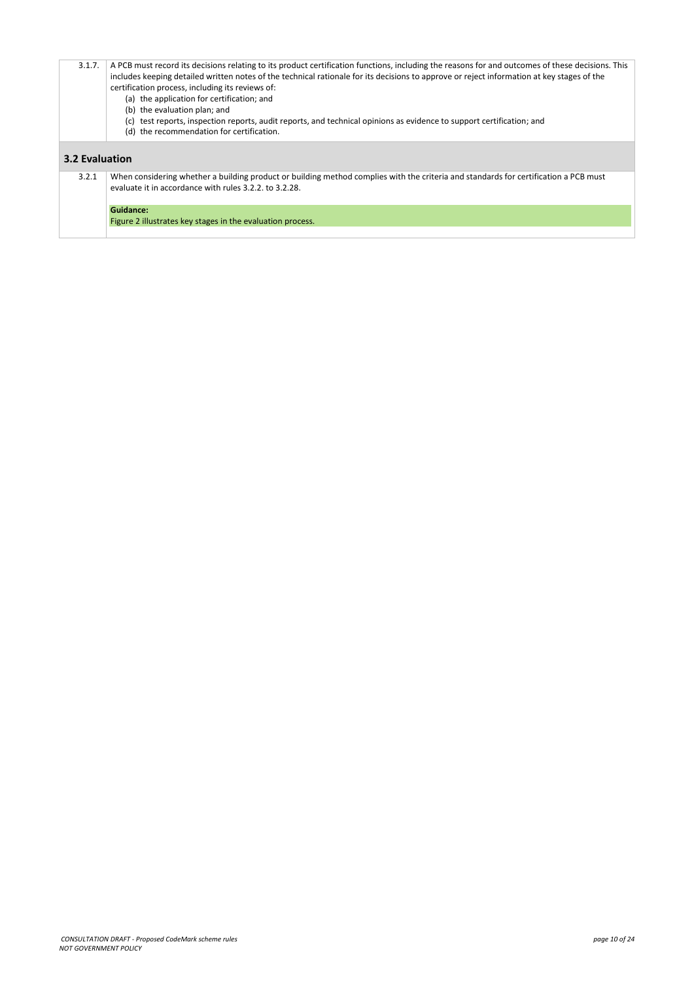*CONSULTATION DRAFT - Proposed CodeMark scheme rules page 10 of 24 NOT GOVERNMENT POLICY*

| A PCB must record its decisions relating to its product certification functions, including the reasons for and outcomes of these decisions. This |
|--------------------------------------------------------------------------------------------------------------------------------------------------|
| includes keeping detailed written notes of the technical rationale for its decisions to approve or reject information at key stages of the       |
| certification process, including its reviews of:                                                                                                 |

- (a) the application for certification; and
- (b) the evaluation plan; and
- (c) test reports, inspection reports, audit reports, and technical opinions as evidence to support certification; and
- (d) the recommendation for certification.

### **3.2 Evaluation**

| 3.2.1 | When considering whether a building product or building method complies with the criteria and standards for certification a PCB must<br>evaluate it in accordance with rules 3.2.2. to 3.2.28. |  |  |  |
|-------|------------------------------------------------------------------------------------------------------------------------------------------------------------------------------------------------|--|--|--|
|       | <b>Guidance:</b>                                                                                                                                                                               |  |  |  |
|       | Figure 2 illustrates key stages in the evaluation process.                                                                                                                                     |  |  |  |
|       |                                                                                                                                                                                                |  |  |  |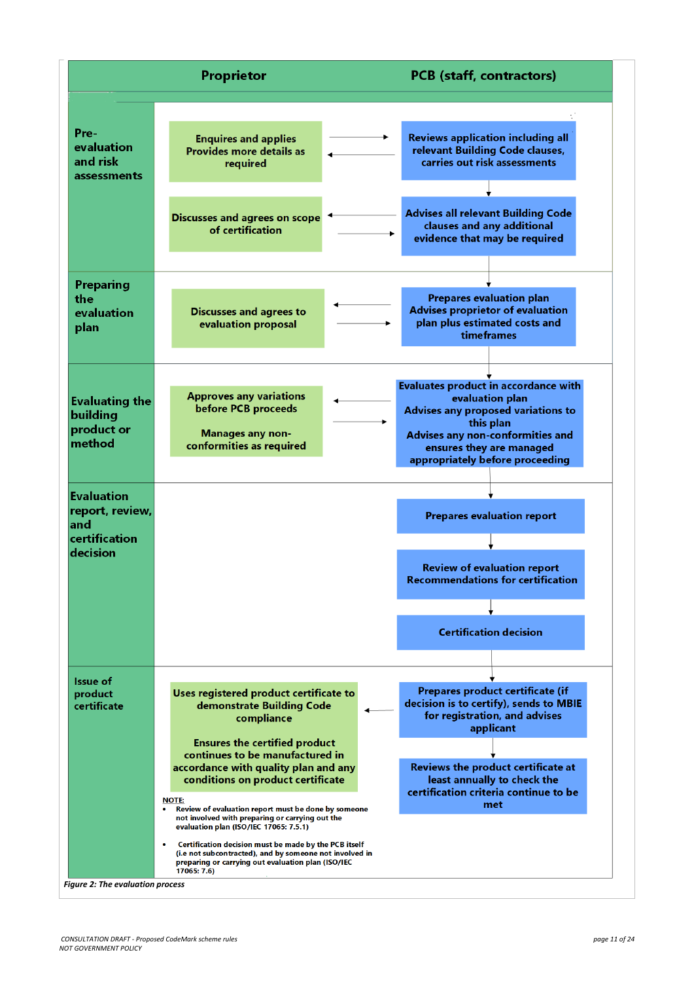|                                                                               | <b>Proprietor</b>                                                                                                         | <b>PCB</b> (staff, contractors)                                                                                                                                                                                      |
|-------------------------------------------------------------------------------|---------------------------------------------------------------------------------------------------------------------------|----------------------------------------------------------------------------------------------------------------------------------------------------------------------------------------------------------------------|
| Pre-<br>evaluation<br>and risk<br>assessments                                 | <b>Enquires and applies</b><br><b>Provides more details as</b><br>required                                                | <b>Reviews application including all</b><br>relevant Building Code clauses,<br>carries out risk assessments                                                                                                          |
|                                                                               | <b>Discusses and agrees on scope</b><br>of certification                                                                  | <b>Advises all relevant Building Code</b><br>clauses and any additional<br>evidence that may be required                                                                                                             |
| <b>Preparing</b><br>the<br>evaluation<br>plan                                 | <b>Discusses and agrees to</b><br>evaluation proposal                                                                     | <b>Prepares evaluation plan</b><br><b>Advises proprietor of evaluation</b><br>plan plus estimated costs and<br>timeframes                                                                                            |
| <b>Evaluating the</b><br>building<br>product or<br>method                     | <b>Approves any variations</b><br>before PCB proceeds<br><b>Manages any non-</b><br>conformities as required              | <b>Evaluates product in accordance with</b><br>evaluation plan<br>Advises any proposed variations to<br>this plan<br>Advises any non-conformities and<br>ensures they are managed<br>appropriately before proceeding |
| <b>Evaluation</b><br>report, review,<br>land<br>$ $ certification<br>decision |                                                                                                                           | <b>Prepares evaluation report</b><br><b>Review of evaluation report</b><br><b>Recommendations for certification</b>                                                                                                  |
|                                                                               |                                                                                                                           | <b>Certification decision</b>                                                                                                                                                                                        |
| <b>Issue of</b><br>product<br>certificate                                     | Uses registered product certificate to<br>demonstrate Building Code<br>compliance<br><b>Ensures the certified product</b> | Prepares product certificate (if<br>decision is to certify), sends to MBIE<br>for registration, and advises<br>applicant                                                                                             |

continues to be manufactured in accordance with quality plan and any conditions on product certificate

#### **NOTE:**

- Review of evaluation report must be done by someone  $\bullet$ not involved with preparing or carrying out the<br>evaluation plan (ISO/IEC 17065: 7.5.1)
- $\bullet$ Certification decision must be made by the PCB itself (i.e not subcontracted), and by someone not involved in preparing or carrying out evaluation plan (ISO/IEC 17065: 7.6)

Reviews the product certificate at least annually to check the certification criteria continue to be met

▼

*CONSULTATION DRAFT - Proposed CodeMark scheme rules page 11 of 24 NOT GOVERNMENT POLICY*

*Figure 2: The evaluation process*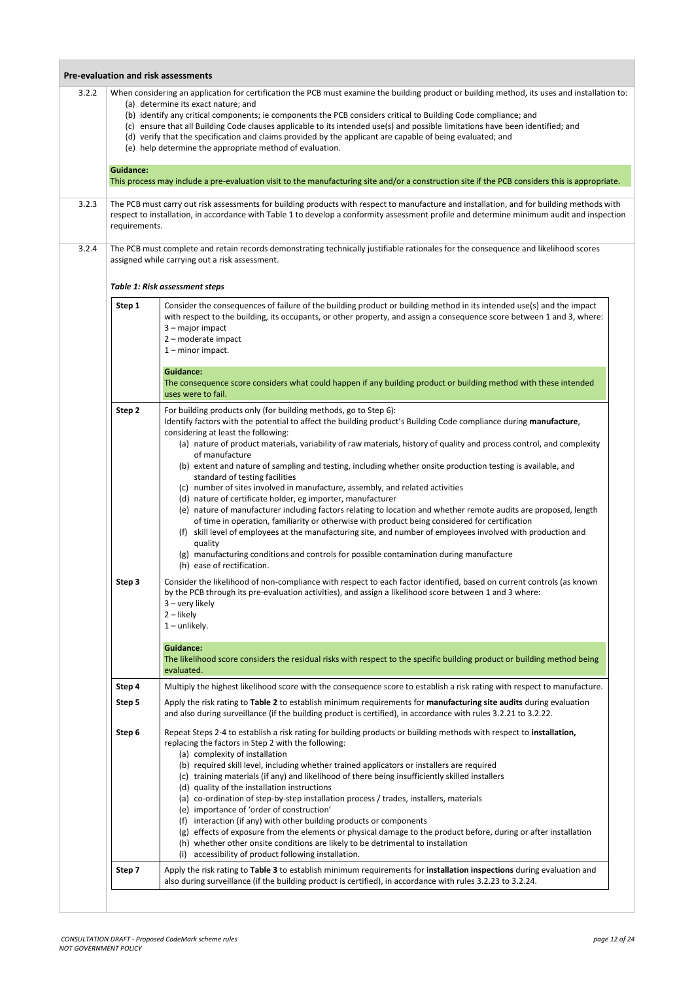<span id="page-11-0"></span>

| 3.2.2 | When considering an application for certification the PCB must examine the building product or building method, its uses and installation to:<br>(a) determine its exact nature; and<br>(b) identify any critical components; ie components the PCB considers critical to Building Code compliance; and<br>(c) ensure that all Building Code clauses applicable to its intended use(s) and possible limitations have been identified; and<br>(d) verify that the specification and claims provided by the applicant are capable of being evaluated; and<br>(e) help determine the appropriate method of evaluation.                                                                                                                                                                                                                                                                                                                              |                                                                                                                                                                                                                                                                                                                                                                                                                                                                                                                                                                                                                                                                                                                                                                                               |  |  |  |  |  |
|-------|--------------------------------------------------------------------------------------------------------------------------------------------------------------------------------------------------------------------------------------------------------------------------------------------------------------------------------------------------------------------------------------------------------------------------------------------------------------------------------------------------------------------------------------------------------------------------------------------------------------------------------------------------------------------------------------------------------------------------------------------------------------------------------------------------------------------------------------------------------------------------------------------------------------------------------------------------|-----------------------------------------------------------------------------------------------------------------------------------------------------------------------------------------------------------------------------------------------------------------------------------------------------------------------------------------------------------------------------------------------------------------------------------------------------------------------------------------------------------------------------------------------------------------------------------------------------------------------------------------------------------------------------------------------------------------------------------------------------------------------------------------------|--|--|--|--|--|
|       | <b>Guidance:</b>                                                                                                                                                                                                                                                                                                                                                                                                                                                                                                                                                                                                                                                                                                                                                                                                                                                                                                                                 | This process may include a pre-evaluation visit to the manufacturing site and/or a construction site if the PCB considers this is appropriate.                                                                                                                                                                                                                                                                                                                                                                                                                                                                                                                                                                                                                                                |  |  |  |  |  |
| 3.2.3 | The PCB must carry out risk assessments for building products with respect to manufacture and installation, and for building methods with<br>respect to installation, in accordance with Table 1 to develop a conformity assessment profile and determine minimum audit and inspection<br>requirements.                                                                                                                                                                                                                                                                                                                                                                                                                                                                                                                                                                                                                                          |                                                                                                                                                                                                                                                                                                                                                                                                                                                                                                                                                                                                                                                                                                                                                                                               |  |  |  |  |  |
| 3.2.4 |                                                                                                                                                                                                                                                                                                                                                                                                                                                                                                                                                                                                                                                                                                                                                                                                                                                                                                                                                  | The PCB must complete and retain records demonstrating technically justifiable rationales for the consequence and likelihood scores<br>assigned while carrying out a risk assessment.                                                                                                                                                                                                                                                                                                                                                                                                                                                                                                                                                                                                         |  |  |  |  |  |
|       | Table 1: Risk assessment steps                                                                                                                                                                                                                                                                                                                                                                                                                                                                                                                                                                                                                                                                                                                                                                                                                                                                                                                   |                                                                                                                                                                                                                                                                                                                                                                                                                                                                                                                                                                                                                                                                                                                                                                                               |  |  |  |  |  |
|       | Step 1                                                                                                                                                                                                                                                                                                                                                                                                                                                                                                                                                                                                                                                                                                                                                                                                                                                                                                                                           | Consider the consequences of failure of the building product or building method in its intended use(s) and the impact<br>with respect to the building, its occupants, or other property, and assign a consequence score between 1 and 3, where:<br>3 - major impact<br>2 - moderate impact<br>$1 -$ minor impact.                                                                                                                                                                                                                                                                                                                                                                                                                                                                             |  |  |  |  |  |
|       |                                                                                                                                                                                                                                                                                                                                                                                                                                                                                                                                                                                                                                                                                                                                                                                                                                                                                                                                                  | <b>Guidance:</b><br>The consequence score considers what could happen if any building product or building method with these intended<br>uses were to fail.                                                                                                                                                                                                                                                                                                                                                                                                                                                                                                                                                                                                                                    |  |  |  |  |  |
|       | Step 2                                                                                                                                                                                                                                                                                                                                                                                                                                                                                                                                                                                                                                                                                                                                                                                                                                                                                                                                           | For building products only (for building methods, go to Step 6):<br>Identify factors with the potential to affect the building product's Building Code compliance during manufacture,<br>considering at least the following:<br>(a) nature of product materials, variability of raw materials, history of quality and process control, and complexity<br>of manufacture<br>(b) extent and nature of sampling and testing, including whether onsite production testing is available, and<br>standard of testing facilities<br>(c) number of sites involved in manufacture, assembly, and related activities<br>(d) nature of certificate holder, eg importer, manufacturer<br>(e) nature of manufacturer including factors relating to location and whether remote audits are proposed, length |  |  |  |  |  |
|       |                                                                                                                                                                                                                                                                                                                                                                                                                                                                                                                                                                                                                                                                                                                                                                                                                                                                                                                                                  | of time in operation, familiarity or otherwise with product being considered for certification<br>skill level of employees at the manufacturing site, and number of employees involved with production and<br>(t)<br>quality<br>manufacturing conditions and controls for possible contamination during manufacture<br>(g)<br>(h) ease of rectification.                                                                                                                                                                                                                                                                                                                                                                                                                                      |  |  |  |  |  |
|       | Step 3                                                                                                                                                                                                                                                                                                                                                                                                                                                                                                                                                                                                                                                                                                                                                                                                                                                                                                                                           | Consider the likelihood of non-compliance with respect to each factor identified, based on current controls (as known<br>by the PCB through its pre-evaluation activities), and assign a likelihood score between 1 and 3 where:<br>3 - very likely<br>$2$ – likely<br>$1$ – unlikely.<br><b>Guidance:</b>                                                                                                                                                                                                                                                                                                                                                                                                                                                                                    |  |  |  |  |  |
|       |                                                                                                                                                                                                                                                                                                                                                                                                                                                                                                                                                                                                                                                                                                                                                                                                                                                                                                                                                  | The likelihood score considers the residual risks with respect to the specific building product or building method being<br>evaluated.                                                                                                                                                                                                                                                                                                                                                                                                                                                                                                                                                                                                                                                        |  |  |  |  |  |
|       | Step 4                                                                                                                                                                                                                                                                                                                                                                                                                                                                                                                                                                                                                                                                                                                                                                                                                                                                                                                                           | Multiply the highest likelihood score with the consequence score to establish a risk rating with respect to manufacture.                                                                                                                                                                                                                                                                                                                                                                                                                                                                                                                                                                                                                                                                      |  |  |  |  |  |
|       | Step 5                                                                                                                                                                                                                                                                                                                                                                                                                                                                                                                                                                                                                                                                                                                                                                                                                                                                                                                                           | Apply the risk rating to Table 2 to establish minimum requirements for manufacturing site audits during evaluation<br>and also during surveillance (if the building product is certified), in accordance with rules 3.2.21 to 3.2.22.                                                                                                                                                                                                                                                                                                                                                                                                                                                                                                                                                         |  |  |  |  |  |
|       | Step 6<br>Repeat Steps 2-4 to establish a risk rating for building products or building methods with respect to installation,<br>replacing the factors in Step 2 with the following:<br>(a) complexity of installation<br>(b) required skill level, including whether trained applicators or installers are required<br>(c) training materials (if any) and likelihood of there being insufficiently skilled installers<br>(d) quality of the installation instructions<br>(a) co-ordination of step-by-step installation process / trades, installers, materials<br>(e) importance of 'order of construction'<br>interaction (if any) with other building products or components<br>effects of exposure from the elements or physical damage to the product before, during or after installation<br>(g)<br>(h) whether other onsite conditions are likely to be detrimental to installation<br>accessibility of product following installation. |                                                                                                                                                                                                                                                                                                                                                                                                                                                                                                                                                                                                                                                                                                                                                                                               |  |  |  |  |  |
|       | Step 7                                                                                                                                                                                                                                                                                                                                                                                                                                                                                                                                                                                                                                                                                                                                                                                                                                                                                                                                           | Apply the risk rating to Table 3 to establish minimum requirements for installation inspections during evaluation and<br>also during surveillance (if the building product is certified), in accordance with rules 3.2.23 to 3.2.24.                                                                                                                                                                                                                                                                                                                                                                                                                                                                                                                                                          |  |  |  |  |  |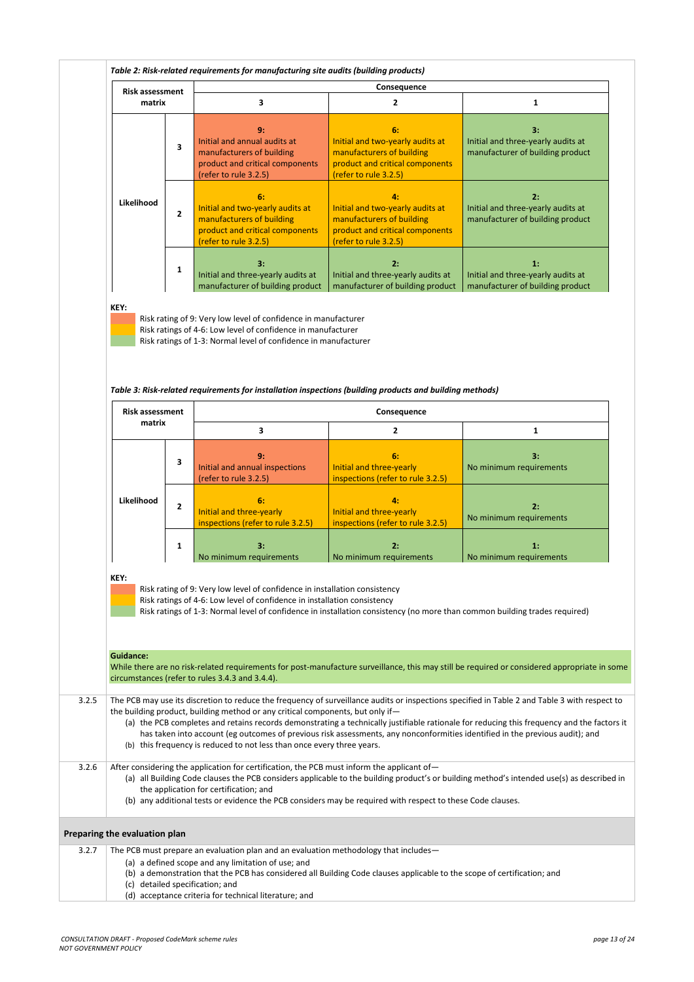| <b>Risk assessment</b><br>matrix |                | Consequence                                                                                                                     |                                                                                                                                           |                                                                              |
|----------------------------------|----------------|---------------------------------------------------------------------------------------------------------------------------------|-------------------------------------------------------------------------------------------------------------------------------------------|------------------------------------------------------------------------------|
|                                  |                | 3                                                                                                                               |                                                                                                                                           | 1                                                                            |
|                                  | 3              | 9:<br>Initial and annual audits at<br>manufacturers of building<br>product and critical components<br>(refer to rule 3.2.5)     | 6:<br>Initial and two-yearly audits at<br>manufacturers of building<br>product and critical components<br>(refer to rule 3.2.5)           | 3:<br>Initial and three-yearly audits at<br>manufacturer of building product |
| Likelihood                       | $\overline{2}$ | 6:<br>Initial and two-yearly audits at<br>manufacturers of building<br>product and critical components<br>(refer to rule 3.2.5) | $\mathbf{A}$<br>Initial and two-yearly audits at<br>manufacturers of building<br>product and critical components<br>(refer to rule 3.2.5) | 2:<br>Initial and three-yearly audits at<br>manufacturer of building product |
|                                  | 1              | 3:<br>Initial and three-yearly audits at<br>manufacturer of building product                                                    | 2:<br>Initial and three-yearly audits at<br>manufacturer of building product                                                              | 1:<br>Initial and three-yearly audits at<br>manufacturer of building product |

#### **KEY:**

Risk rating of 9: Very low level of confidence in manufacturer Risk ratings of 4-6: Low level of confidence in manufacturer Risk ratings of 1-3: Normal level of confidence in manufacturer

3.2.5 The PCB may use its discretion to reduce the frequency of surveillance audits or inspections specified in Table 2 and [Table 3](#page-12-1) with respect to the building product, building method or any critical components, but only if—

### <span id="page-12-1"></span>*Table 3: Risk-related requirements for installation inspections (building products and building methods)*

| <b>Risk assessment</b><br>matrix |                | Consequence                                                         |                                                                     |                                           |  |
|----------------------------------|----------------|---------------------------------------------------------------------|---------------------------------------------------------------------|-------------------------------------------|--|
|                                  |                | 3<br>2                                                              |                                                                     |                                           |  |
|                                  | 3              | 9:<br>Initial and annual inspections<br>(refer to rule 3.2.5)       | 6:<br>Initial and three-yearly<br>inspections (refer to rule 3.2.5) | 3:<br>No minimum requirements             |  |
| <b>Likelihood</b>                | $\overline{2}$ | 6:<br>Initial and three-yearly<br>inspections (refer to rule 3.2.5) | 4:<br>Initial and three-yearly<br>inspections (refer to rule 3.2.5) | 2:<br>No minimum requirements             |  |
|                                  |                | 3:<br>No minimum requirements                                       | 2:<br>No minimum requirements                                       | $\mathbf{1}$ :<br>No minimum requirements |  |

### **KEY:**

Risk rating of 9: Very low level of confidence in installation consistency

Risk ratings of 4-6: Low level of confidence in installation consistency

Risk ratings of 1-3: Normal level of confidence in installation consistency (no more than common building trades required)

### **Guidance:**

While there are no risk-related requirements for post-manufacture surveillance, this may still be required or considered appropriate in some circumstances (refer to rules [3.4.3](#page-16-0) an[d 3.4.4\)](#page-16-1).

<span id="page-12-0"></span>

(a) the PCB completes and retains records demonstrating a technically justifiable rationale for reducing this frequency and the factors it has taken into account (eg outcomes of previous risk assessments, any nonconformities identified in the previous audit); and

|       | (b) this frequency is reduced to not less than once every three years.                                                                                                                                                                                                                                                                                                                          |  |  |  |
|-------|-------------------------------------------------------------------------------------------------------------------------------------------------------------------------------------------------------------------------------------------------------------------------------------------------------------------------------------------------------------------------------------------------|--|--|--|
| 3.2.6 | After considering the application for certification, the PCB must inform the applicant of-<br>(a) all Building Code clauses the PCB considers applicable to the building product's or building method's intended use(s) as described in<br>the application for certification; and<br>(b) any additional tests or evidence the PCB considers may be required with respect to these Code clauses. |  |  |  |
|       | Preparing the evaluation plan                                                                                                                                                                                                                                                                                                                                                                   |  |  |  |
| 3.2.7 | The PCB must prepare an evaluation plan and an evaluation methodology that includes-                                                                                                                                                                                                                                                                                                            |  |  |  |
|       | (a) a defined scope and any limitation of use; and                                                                                                                                                                                                                                                                                                                                              |  |  |  |
|       | (b) a demonstration that the PCB has considered all Building Code clauses applicable to the scope of certification; and                                                                                                                                                                                                                                                                         |  |  |  |
|       | (c) detailed specification; and                                                                                                                                                                                                                                                                                                                                                                 |  |  |  |
|       | (d) acceptance criteria for technical literature; and                                                                                                                                                                                                                                                                                                                                           |  |  |  |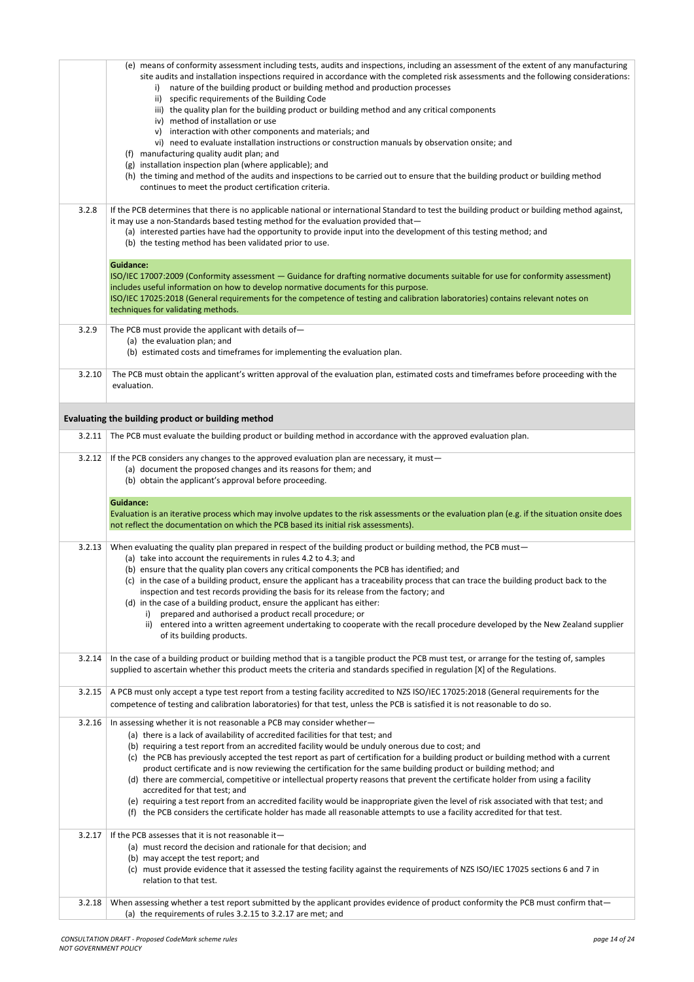|        | (e) means of conformity assessment including tests, audits and inspections, including an assessment of the extent of any manufacturing<br>site audits and installation inspections required in accordance with the completed risk assessments and the following considerations:                                                                                                                                    |
|--------|--------------------------------------------------------------------------------------------------------------------------------------------------------------------------------------------------------------------------------------------------------------------------------------------------------------------------------------------------------------------------------------------------------------------|
|        | nature of the building product or building method and production processes<br>i)<br>specific requirements of the Building Code<br>ii)<br>iii) the quality plan for the building product or building method and any critical components                                                                                                                                                                             |
|        | iv) method of installation or use                                                                                                                                                                                                                                                                                                                                                                                  |
|        | interaction with other components and materials; and<br>V)<br>vi) need to evaluate installation instructions or construction manuals by observation onsite; and                                                                                                                                                                                                                                                    |
|        | (f) manufacturing quality audit plan; and<br>(g) installation inspection plan (where applicable); and                                                                                                                                                                                                                                                                                                              |
|        | (h) the timing and method of the audits and inspections to be carried out to ensure that the building product or building method<br>continues to meet the product certification criteria.                                                                                                                                                                                                                          |
| 3.2.8  | If the PCB determines that there is no applicable national or international Standard to test the building product or building method against,<br>it may use a non-Standards based testing method for the evaluation provided that-<br>(a) interested parties have had the opportunity to provide input into the development of this testing method; and<br>(b) the testing method has been validated prior to use. |
|        | <b>Guidance:</b>                                                                                                                                                                                                                                                                                                                                                                                                   |
|        | ISO/IEC 17007:2009 (Conformity assessment - Guidance for drafting normative documents suitable for use for conformity assessment)<br>includes useful information on how to develop normative documents for this purpose.                                                                                                                                                                                           |
|        | ISO/IEC 17025:2018 (General requirements for the competence of testing and calibration laboratories) contains relevant notes on<br>techniques for validating methods.                                                                                                                                                                                                                                              |
| 3.2.9  | The PCB must provide the applicant with details of-                                                                                                                                                                                                                                                                                                                                                                |
|        | (a) the evaluation plan; and<br>(b) estimated costs and timeframes for implementing the evaluation plan.                                                                                                                                                                                                                                                                                                           |
| 3.2.10 | The PCB must obtain the applicant's written approval of the evaluation plan, estimated costs and timeframes before proceeding with the<br>evaluation.                                                                                                                                                                                                                                                              |
|        |                                                                                                                                                                                                                                                                                                                                                                                                                    |
|        | Evaluating the building product or building method                                                                                                                                                                                                                                                                                                                                                                 |
| 3.2.11 | The PCB must evaluate the building product or building method in accordance with the approved evaluation plan.                                                                                                                                                                                                                                                                                                     |
| 3.2.12 | If the PCB considers any changes to the approved evaluation plan are necessary, it must-                                                                                                                                                                                                                                                                                                                           |
|        | (a) document the proposed changes and its reasons for them; and<br>(b) obtain the applicant's approval before proceeding.                                                                                                                                                                                                                                                                                          |
|        | <b>Guidance:</b><br>Evaluation is an iterative process which may involve updates to the risk assessments or the evaluation plan (e.g. if the situation onsite does                                                                                                                                                                                                                                                 |
|        | not reflect the documentation on which the PCB based its initial risk assessments).                                                                                                                                                                                                                                                                                                                                |
| 3.2.13 | When evaluating the quality plan prepared in respect of the building product or building method, the PCB must-                                                                                                                                                                                                                                                                                                     |
|        | (a) take into account the requirements in rules 4.2 to 4.3; and<br>(b) ensure that the quality plan covers any critical components the PCB has identified; and                                                                                                                                                                                                                                                     |
|        | (c) in the case of a building product, ensure the applicant has a traceability process that can trace the building product back to the                                                                                                                                                                                                                                                                             |
|        | inspection and test records providing the basis for its release from the factory; and<br>(d) in the case of a building product, ensure the applicant has either:                                                                                                                                                                                                                                                   |
|        | i) prepared and authorised a product recall procedure; or<br>ii) entered into a written agreement undertaking to cooperate with the recall procedure developed by the New Zealand supplier<br>of its building products.                                                                                                                                                                                            |
| 3.2.14 | In the case of a building product or building method that is a tangible product the PCB must test, or arrange for the testing of, samples<br>supplied to ascertain whether this product meets the criteria and standards specified in regulation [X] of the Regulations.                                                                                                                                           |
| 3.2.15 | A PCB must only accept a type test report from a testing facility accredited to NZS ISO/IEC 17025:2018 (General requirements for the<br>competence of testing and calibration laboratories) for that test, unless the PCB is satisfied it is not reasonable to do so.                                                                                                                                              |

<span id="page-13-1"></span><span id="page-13-0"></span>

|        | (d) There is a fack of availability of accredited facilities for that test; and<br>(b) requiring a test report from an accredited facility would be unduly onerous due to cost; and<br>(c) the PCB has previously accepted the test report as part of certification for a building product or building method with a current    |
|--------|---------------------------------------------------------------------------------------------------------------------------------------------------------------------------------------------------------------------------------------------------------------------------------------------------------------------------------|
|        | product certificate and is now reviewing the certification for the same building product or building method; and<br>(d) there are commercial, competitive or intellectual property reasons that prevent the certificate holder from using a facility<br>accredited for that test; and                                           |
|        | (e) requiring a test report from an accredited facility would be inappropriate given the level of risk associated with that test; and<br>(f) the PCB considers the certificate holder has made all reasonable attempts to use a facility accredited for that test.                                                              |
| 3.2.17 | If the PCB assesses that it is not reasonable it $-$<br>(a) must record the decision and rationale for that decision; and<br>(b) may accept the test report; and<br>(c) must provide evidence that it assessed the testing facility against the requirements of NZS ISO/IEC 17025 sections 6 and 7 in<br>relation to that test. |
| 3.2.18 | When assessing whether a test report submitted by the applicant provides evidence of product conformity the PCB must confirm that-<br>(a) the requirements of rules 3.2.15 to 3.2.17 are met; and                                                                                                                               |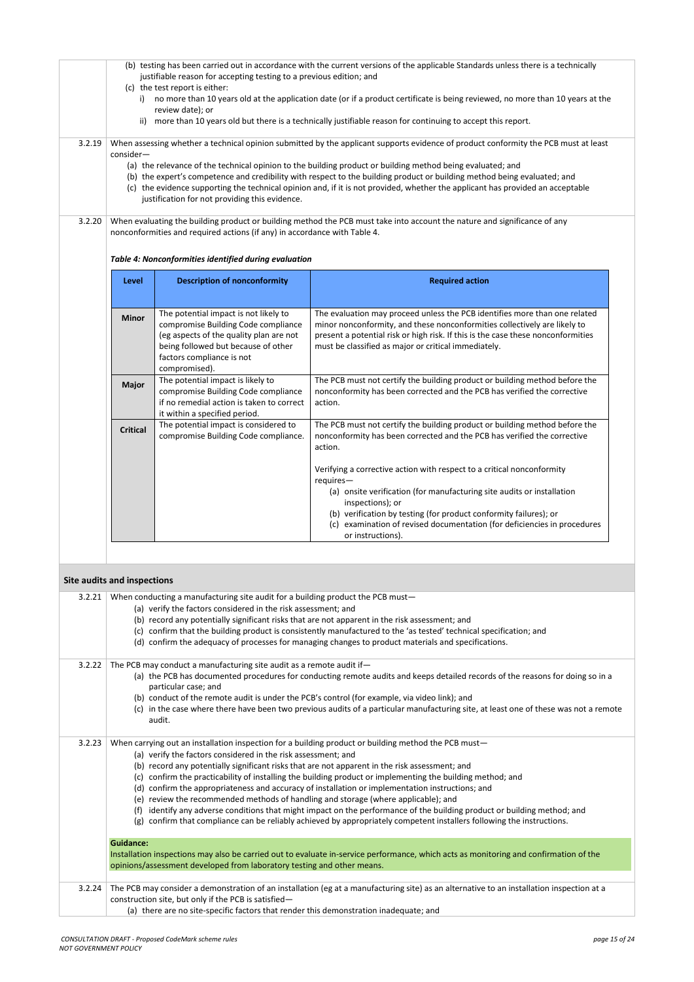| 3.2.19 | When assessing whether a technical opinion submitted by the applicant supports evidence of product conformity the PCB must at least<br>consider-<br>(a) the relevance of the technical opinion to the building product or building method being evaluated; and<br>(b) the expert's competence and credibility with respect to the building product or building method being evaluated; and<br>(c) the evidence supporting the technical opinion and, if it is not provided, whether the applicant has provided an acceptable<br>justification for not providing this evidence. |                                                                                                                                                                                                              |                                                                                                                                                                                                                                                                                                     |  |
|--------|--------------------------------------------------------------------------------------------------------------------------------------------------------------------------------------------------------------------------------------------------------------------------------------------------------------------------------------------------------------------------------------------------------------------------------------------------------------------------------------------------------------------------------------------------------------------------------|--------------------------------------------------------------------------------------------------------------------------------------------------------------------------------------------------------------|-----------------------------------------------------------------------------------------------------------------------------------------------------------------------------------------------------------------------------------------------------------------------------------------------------|--|
| 3.2.20 |                                                                                                                                                                                                                                                                                                                                                                                                                                                                                                                                                                                | nonconformities and required actions (if any) in accordance with Table 4.<br>Table 4: Nonconformities identified during evaluation                                                                           | When evaluating the building product or building method the PCB must take into account the nature and significance of any                                                                                                                                                                           |  |
|        | Level                                                                                                                                                                                                                                                                                                                                                                                                                                                                                                                                                                          | <b>Description of nonconformity</b>                                                                                                                                                                          | <b>Required action</b>                                                                                                                                                                                                                                                                              |  |
|        | <b>Minor</b>                                                                                                                                                                                                                                                                                                                                                                                                                                                                                                                                                                   | The potential impact is not likely to<br>compromise Building Code compliance<br>(eg aspects of the quality plan are not<br>being followed but because of other<br>factors compliance is not<br>compromised). | The evaluation may proceed unless the PCB identifies more than one related<br>minor nonconformity, and these nonconformities collectively are likely to<br>present a potential risk or high risk. If this is the case these nonconformities<br>must be classified as major or critical immediately. |  |
|        | <b>Major</b>                                                                                                                                                                                                                                                                                                                                                                                                                                                                                                                                                                   | The potential impact is likely to<br>compromise Building Code compliance<br>if no remedial action is taken to correct<br>it within a specified period.                                                       | The PCB must not certify the building product or building method before the<br>nonconformity has been corrected and the PCB has verified the corrective<br>action.                                                                                                                                  |  |
|        | <b>Critical</b>                                                                                                                                                                                                                                                                                                                                                                                                                                                                                                                                                                | The potential impact is considered to<br>compromise Building Code compliance.                                                                                                                                | The PCB must not certify the building product or building method before the<br>nonconformity has been corrected and the PCB has verified the corrective<br>action.<br>Verifying a corrective action with respect to a critical nonconformity                                                        |  |
|        |                                                                                                                                                                                                                                                                                                                                                                                                                                                                                                                                                                                |                                                                                                                                                                                                              | $requires-$<br>(a) onsite verification (for manufacturing site audits or installation<br>inspections); or<br>(b) verification by testing (for product conformity failures); or<br>(c) examination of revised documentation (for deficiencies in procedures                                          |  |

<span id="page-14-1"></span><span id="page-14-0"></span>3.2.22 The PCB may conduct a manufacturing site audit as a remote audit if-(a) the PCB has documented procedures for conducting remote audits and keeps detailed records of the reasons for doing so in a particular case; and (b) conduct of the remote audit is under the PCB's control (for example, via video link); and (c) in the case where there have been two previous audits of a particular manufacturing site, at least one of these was not a remote audit.

<span id="page-14-3"></span><span id="page-14-2"></span>

| 3.2.23 | When carrying out an installation inspection for a building product or building method the PCB must—                                      |
|--------|-------------------------------------------------------------------------------------------------------------------------------------------|
|        | (a) verify the factors considered in the risk assessment; and                                                                             |
|        | (b) record any potentially significant risks that are not apparent in the risk assessment; and                                            |
|        | (c) confirm the practicability of installing the building product or implementing the building method; and                                |
|        | (d) confirm the appropriateness and accuracy of installation or implementation instructions; and                                          |
|        | (e) review the recommended methods of handling and storage (where applicable); and                                                        |
|        | identify any adverse conditions that might impact on the performance of the building product or building method; and<br>(f)               |
|        | (g) confirm that compliance can be reliably achieved by appropriately competent installers following the instructions.                    |
|        |                                                                                                                                           |
|        | <b>Guidance:</b>                                                                                                                          |
|        | Installation inspections may also be carried out to evaluate in-service performance, which acts as monitoring and confirmation of the     |
|        | opinions/assessment developed from laboratory testing and other means.                                                                    |
|        |                                                                                                                                           |
| 3.2.24 | The PCB may consider a demonstration of an installation (eg at a manufacturing site) as an alternative to an installation inspection at a |
|        | construction site, but only if the PCB is satisfied-                                                                                      |
|        | (a) there are no site-specific factors that render this demonstration inadequate; and                                                     |

- (b) record any potentially significant risks that are not apparent in the risk assessment; and
- (c) confirm that the building product is consistently manufactured to the 'as tested' technical specification; and
- (d) confirm the adequacy of processes for managing changes to product materials and specifications.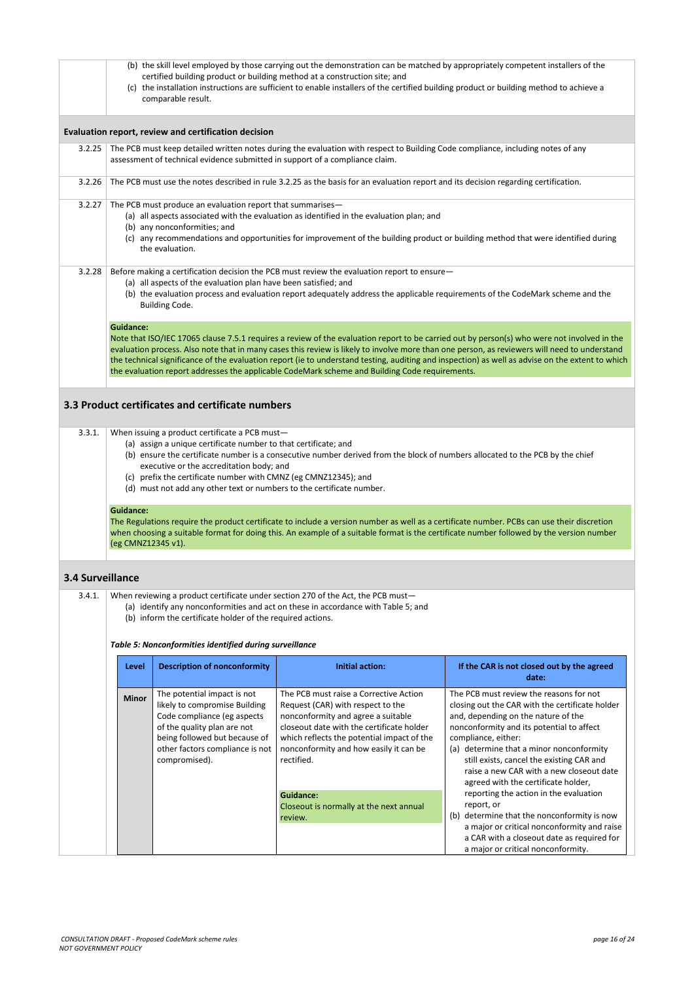<span id="page-15-1"></span><span id="page-15-0"></span>

|        | (b) the skill level employed by those carrying out the demonstration can be matched by appropriately competent installers of the<br>certified building product or building method at a construction site; and<br>(c) the installation instructions are sufficient to enable installers of the certified building product or building method to achieve a<br>comparable result. |                                                                                                                                                                                                                                                                                                                  |                                                                                                                                                                                                              |                                                                                                                                                                                                                                                                                                                                                                                                                                                 |
|--------|--------------------------------------------------------------------------------------------------------------------------------------------------------------------------------------------------------------------------------------------------------------------------------------------------------------------------------------------------------------------------------|------------------------------------------------------------------------------------------------------------------------------------------------------------------------------------------------------------------------------------------------------------------------------------------------------------------|--------------------------------------------------------------------------------------------------------------------------------------------------------------------------------------------------------------|-------------------------------------------------------------------------------------------------------------------------------------------------------------------------------------------------------------------------------------------------------------------------------------------------------------------------------------------------------------------------------------------------------------------------------------------------|
|        |                                                                                                                                                                                                                                                                                                                                                                                | Evaluation report, review and certification decision                                                                                                                                                                                                                                                             |                                                                                                                                                                                                              |                                                                                                                                                                                                                                                                                                                                                                                                                                                 |
| 3.2.25 |                                                                                                                                                                                                                                                                                                                                                                                | assessment of technical evidence submitted in support of a compliance claim.                                                                                                                                                                                                                                     | The PCB must keep detailed written notes during the evaluation with respect to Building Code compliance, including notes of any                                                                              |                                                                                                                                                                                                                                                                                                                                                                                                                                                 |
| 3.2.26 |                                                                                                                                                                                                                                                                                                                                                                                |                                                                                                                                                                                                                                                                                                                  | The PCB must use the notes described in rule 3.2.25 as the basis for an evaluation report and its decision regarding certification.                                                                          |                                                                                                                                                                                                                                                                                                                                                                                                                                                 |
| 3.2.27 | The PCB must produce an evaluation report that summarises-<br>(a) all aspects associated with the evaluation as identified in the evaluation plan; and<br>(b) any nonconformities; and<br>(c) any recommendations and opportunities for improvement of the building product or building method that were identified during<br>the evaluation.                                  |                                                                                                                                                                                                                                                                                                                  |                                                                                                                                                                                                              |                                                                                                                                                                                                                                                                                                                                                                                                                                                 |
| 3.2.28 |                                                                                                                                                                                                                                                                                                                                                                                | (a) all aspects of the evaluation plan have been satisfied; and<br><b>Building Code.</b>                                                                                                                                                                                                                         | Before making a certification decision the PCB must review the evaluation report to ensure-                                                                                                                  | (b) the evaluation process and evaluation report adequately address the applicable requirements of the CodeMark scheme and the                                                                                                                                                                                                                                                                                                                  |
|        | <b>Guidance:</b>                                                                                                                                                                                                                                                                                                                                                               |                                                                                                                                                                                                                                                                                                                  | the evaluation report addresses the applicable CodeMark scheme and Building Code requirements.                                                                                                               | Note that ISO/IEC 17065 clause 7.5.1 requires a review of the evaluation report to be carried out by person(s) who were not involved in the<br>evaluation process. Also note that in many cases this review is likely to involve more than one person, as reviewers will need to understand<br>the technical significance of the evaluation report (ie to understand testing, auditing and inspection) as well as advise on the extent to which |
|        |                                                                                                                                                                                                                                                                                                                                                                                | 3.3 Product certificates and certificate numbers                                                                                                                                                                                                                                                                 |                                                                                                                                                                                                              |                                                                                                                                                                                                                                                                                                                                                                                                                                                 |
|        |                                                                                                                                                                                                                                                                                                                                                                                | 3.3.1. When issuing a product certificate a PCB must-<br>(a) assign a unique certificate number to that certificate; and<br>executive or the accreditation body; and<br>(c) prefix the certificate number with CMNZ (eg CMNZ12345); and<br>(d) must not add any other text or numbers to the certificate number. | (b) ensure the certificate number is a consecutive number derived from the block of numbers allocated to the PCB by the chief                                                                                |                                                                                                                                                                                                                                                                                                                                                                                                                                                 |
|        | <b>Guidance:</b><br>(eg CMNZ12345 v1).                                                                                                                                                                                                                                                                                                                                         |                                                                                                                                                                                                                                                                                                                  |                                                                                                                                                                                                              | The Regulations require the product certificate to include a version number as well as a certificate number. PCBs can use their discretion<br>when choosing a suitable format for doing this. An example of a suitable format is the certificate number followed by the version number                                                                                                                                                          |
|        | <b>3.4 Surveillance</b>                                                                                                                                                                                                                                                                                                                                                        |                                                                                                                                                                                                                                                                                                                  |                                                                                                                                                                                                              |                                                                                                                                                                                                                                                                                                                                                                                                                                                 |
| 3.4.1. |                                                                                                                                                                                                                                                                                                                                                                                | (b) inform the certificate holder of the required actions.                                                                                                                                                                                                                                                       | When reviewing a product certificate under section 270 of the Act, the PCB must-<br>(a) identify any nonconformities and act on these in accordance with Table 5; and                                        |                                                                                                                                                                                                                                                                                                                                                                                                                                                 |
|        |                                                                                                                                                                                                                                                                                                                                                                                | Table 5: Nonconformities identified during surveillance                                                                                                                                                                                                                                                          |                                                                                                                                                                                                              |                                                                                                                                                                                                                                                                                                                                                                                                                                                 |
|        | Level                                                                                                                                                                                                                                                                                                                                                                          | <b>Description of nonconformity</b>                                                                                                                                                                                                                                                                              | <b>Initial action:</b>                                                                                                                                                                                       | If the CAR is not closed out by the agreed<br>date:                                                                                                                                                                                                                                                                                                                                                                                             |
|        | <b>Minor</b>                                                                                                                                                                                                                                                                                                                                                                   | The potential impact is not<br>likely to compromise Building<br>Code compliance (eg aspects<br>of the quality plan are not<br>being followed but because of                                                                                                                                                      | The PCB must raise a Corrective Action<br>Request (CAR) with respect to the<br>nonconformity and agree a suitable<br>closeout date with the certificate holder<br>which reflects the potential impact of the | The PCB must review the reasons for not<br>closing out the CAR with the certificate holder<br>and, depending on the nature of the<br>nonconformity and its potential to affect<br>compliance, either:                                                                                                                                                                                                                                           |

| being followed but because of<br>other factors compliance is not | which reflects the potential impact of the<br>nonconformity and how easily it can be | compliance, either:<br>(a) determine that a minor nonconformity                                                              |
|------------------------------------------------------------------|--------------------------------------------------------------------------------------|------------------------------------------------------------------------------------------------------------------------------|
| compromised).                                                    | rectified.                                                                           | still exists, cancel the existing CAR and<br>raise a new CAR with a new closeout date<br>agreed with the certificate holder, |
|                                                                  | <b>Guidance:</b>                                                                     | reporting the action in the evaluation                                                                                       |
|                                                                  | Closeout is normally at the next annual                                              | report, or                                                                                                                   |
|                                                                  | review.                                                                              | (b) determine that the nonconformity is now                                                                                  |
|                                                                  |                                                                                      | a major or critical nonconformity and raise                                                                                  |
|                                                                  |                                                                                      | a CAR with a closeout date as required for                                                                                   |
|                                                                  |                                                                                      | a major or critical nonconformity.                                                                                           |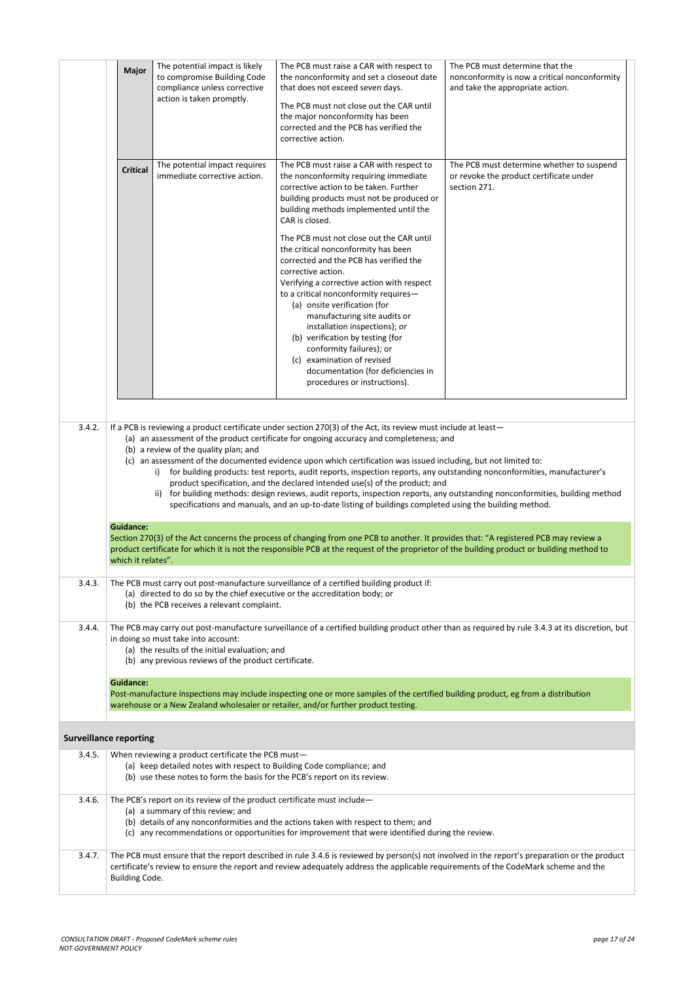|        | <b>Major</b>                                                                                                                                                                                                                                                                                                                                                                                                                                                                                                                                                                                                                                                                                                                                                                                                                         | The potential impact is likely<br>to compromise Building Code<br>compliance unless corrective<br>action is taken promptly. | The PCB must raise a CAR with respect to<br>the nonconformity and set a closeout date<br>that does not exceed seven days.<br>The PCB must not close out the CAR until<br>the major nonconformity has been<br>corrected and the PCB has verified the<br>corrective action.                                                                                                                                                                                                                                                                                                                                                                                                                                                                           | The PCB must determine that the<br>nonconformity is now a critical nonconformity<br>and take the appropriate action. |
|--------|--------------------------------------------------------------------------------------------------------------------------------------------------------------------------------------------------------------------------------------------------------------------------------------------------------------------------------------------------------------------------------------------------------------------------------------------------------------------------------------------------------------------------------------------------------------------------------------------------------------------------------------------------------------------------------------------------------------------------------------------------------------------------------------------------------------------------------------|----------------------------------------------------------------------------------------------------------------------------|-----------------------------------------------------------------------------------------------------------------------------------------------------------------------------------------------------------------------------------------------------------------------------------------------------------------------------------------------------------------------------------------------------------------------------------------------------------------------------------------------------------------------------------------------------------------------------------------------------------------------------------------------------------------------------------------------------------------------------------------------------|----------------------------------------------------------------------------------------------------------------------|
|        | <b>Critical</b>                                                                                                                                                                                                                                                                                                                                                                                                                                                                                                                                                                                                                                                                                                                                                                                                                      | The potential impact requires<br>immediate corrective action.                                                              | The PCB must raise a CAR with respect to<br>the nonconformity requiring immediate<br>corrective action to be taken. Further<br>building products must not be produced or<br>building methods implemented until the<br>CAR is closed.<br>The PCB must not close out the CAR until<br>the critical nonconformity has been<br>corrected and the PCB has verified the<br>corrective action.<br>Verifying a corrective action with respect<br>to a critical nonconformity requires-<br>(a) onsite verification (for<br>manufacturing site audits or<br>installation inspections); or<br>(b) verification by testing (for<br>conformity failures); or<br>(c) examination of revised<br>documentation (for deficiencies in<br>procedures or instructions). | The PCB must determine whether to suspend<br>or revoke the product certificate under<br>section 271.                 |
| 3.4.2. | If a PCB is reviewing a product certificate under section 270(3) of the Act, its review must include at least-<br>(a) an assessment of the product certificate for ongoing accuracy and completeness; and<br>(b) a review of the quality plan; and<br>(c) an assessment of the documented evidence upon which certification was issued including, but not limited to:<br>for building products: test reports, audit reports, inspection reports, any outstanding nonconformities, manufacturer's<br>i)<br>product specification, and the declared intended use(s) of the product; and<br>for building methods: design reviews, audit reports, inspection reports, any outstanding nonconformities, building method<br>ii)<br>specifications and manuals, and an up-to-date listing of buildings completed using the building method. |                                                                                                                            |                                                                                                                                                                                                                                                                                                                                                                                                                                                                                                                                                                                                                                                                                                                                                     |                                                                                                                      |
|        | <b>Guidance:</b><br>Section 270(3) of the Act concerns the process of changing from one PCB to another. It provides that: "A registered PCB may review a<br>product certificate for which it is not the responsible PCB at the request of the proprietor of the building product or building method to<br>which it relates".                                                                                                                                                                                                                                                                                                                                                                                                                                                                                                         |                                                                                                                            |                                                                                                                                                                                                                                                                                                                                                                                                                                                                                                                                                                                                                                                                                                                                                     |                                                                                                                      |
| 3.4.3. | The PCB must carry out post-manufacture surveillance of a certified building product if:<br>(a) directed to do so by the chief executive or the accreditation body; or<br>(b) the PCB receives a relevant complaint.                                                                                                                                                                                                                                                                                                                                                                                                                                                                                                                                                                                                                 |                                                                                                                            |                                                                                                                                                                                                                                                                                                                                                                                                                                                                                                                                                                                                                                                                                                                                                     |                                                                                                                      |
| 3.4.4. | The PCB may carry out post-manufacture surveillance of a certified building product other than as required by rule 3.4.3 at its discretion, but<br>in doing so must take into account:<br>(a) the results of the initial evaluation; and<br>(b) any previous reviews of the product certificate.<br><b>Guidance:</b><br>Post-manufacture inspections may include inspecting one or more samples of the certified building product, eg from a distribution<br>warehouse or a New Zealand wholesaler or retailer, and/or further product testing.                                                                                                                                                                                                                                                                                      |                                                                                                                            |                                                                                                                                                                                                                                                                                                                                                                                                                                                                                                                                                                                                                                                                                                                                                     |                                                                                                                      |
|        |                                                                                                                                                                                                                                                                                                                                                                                                                                                                                                                                                                                                                                                                                                                                                                                                                                      |                                                                                                                            |                                                                                                                                                                                                                                                                                                                                                                                                                                                                                                                                                                                                                                                                                                                                                     |                                                                                                                      |

<span id="page-16-2"></span><span id="page-16-1"></span><span id="page-16-0"></span>

|        | <b>Surveillance reporting</b>                                                                                                                                                                                                                                                                               |
|--------|-------------------------------------------------------------------------------------------------------------------------------------------------------------------------------------------------------------------------------------------------------------------------------------------------------------|
| 3.4.5. | When reviewing a product certificate the PCB must-                                                                                                                                                                                                                                                          |
|        | (a) keep detailed notes with respect to Building Code compliance; and                                                                                                                                                                                                                                       |
|        | (b) use these notes to form the basis for the PCB's report on its review.                                                                                                                                                                                                                                   |
| 3.4.6. | The PCB's report on its review of the product certificate must include -                                                                                                                                                                                                                                    |
|        | (a) a summary of this review; and                                                                                                                                                                                                                                                                           |
|        | (b) details of any nonconformities and the actions taken with respect to them; and                                                                                                                                                                                                                          |
|        | (c) any recommendations or opportunities for improvement that were identified during the review.                                                                                                                                                                                                            |
| 3.4.7. | The PCB must ensure that the report described in rule 3.4.6 is reviewed by person(s) not involved in the report's preparation or the product<br>certificate's review to ensure the report and review adequately address the applicable requirements of the CodeMark scheme and the<br><b>Building Code.</b> |
|        |                                                                                                                                                                                                                                                                                                             |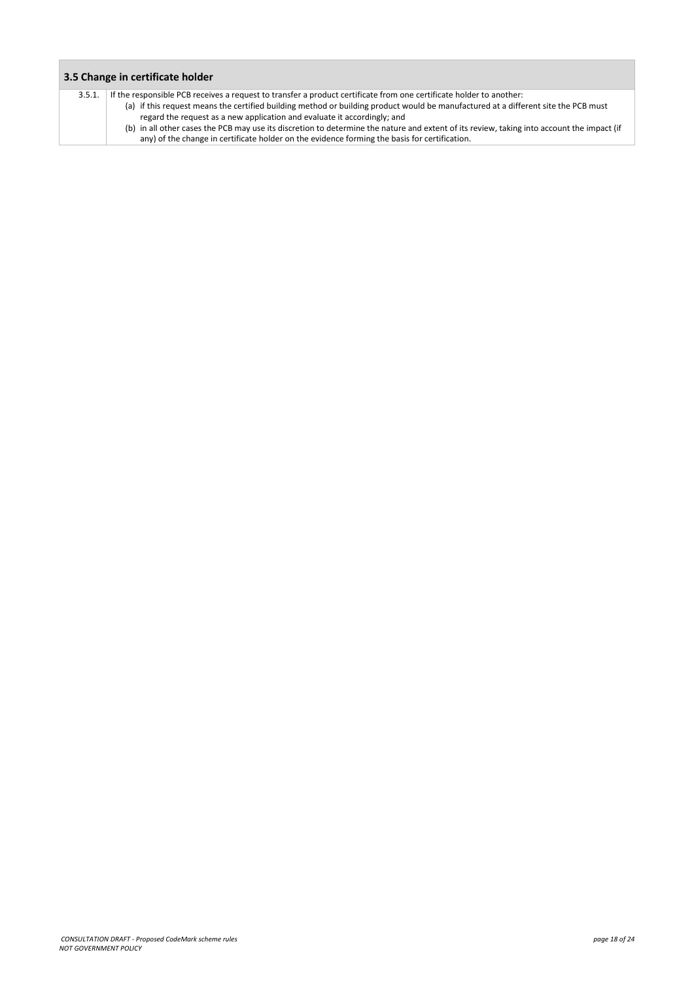*CONSULTATION DRAFT - Proposed CodeMark scheme rules page 18 of 24 NOT GOVERNMENT POLICY*

| 3.5 Change in certificate holder |                                                                                                                                                                                                                                                                                                                                                                                                                                                                                                                                                                                      |  |
|----------------------------------|--------------------------------------------------------------------------------------------------------------------------------------------------------------------------------------------------------------------------------------------------------------------------------------------------------------------------------------------------------------------------------------------------------------------------------------------------------------------------------------------------------------------------------------------------------------------------------------|--|
| 3.5.1.                           | If the responsible PCB receives a request to transfer a product certificate from one certificate holder to another:<br>(a) if this request means the certified building method or building product would be manufactured at a different site the PCB must<br>regard the request as a new application and evaluate it accordingly; and<br>(b) in all other cases the PCB may use its discretion to determine the nature and extent of its review, taking into account the impact (if<br>any) of the change in certificate holder on the evidence forming the basis for certification. |  |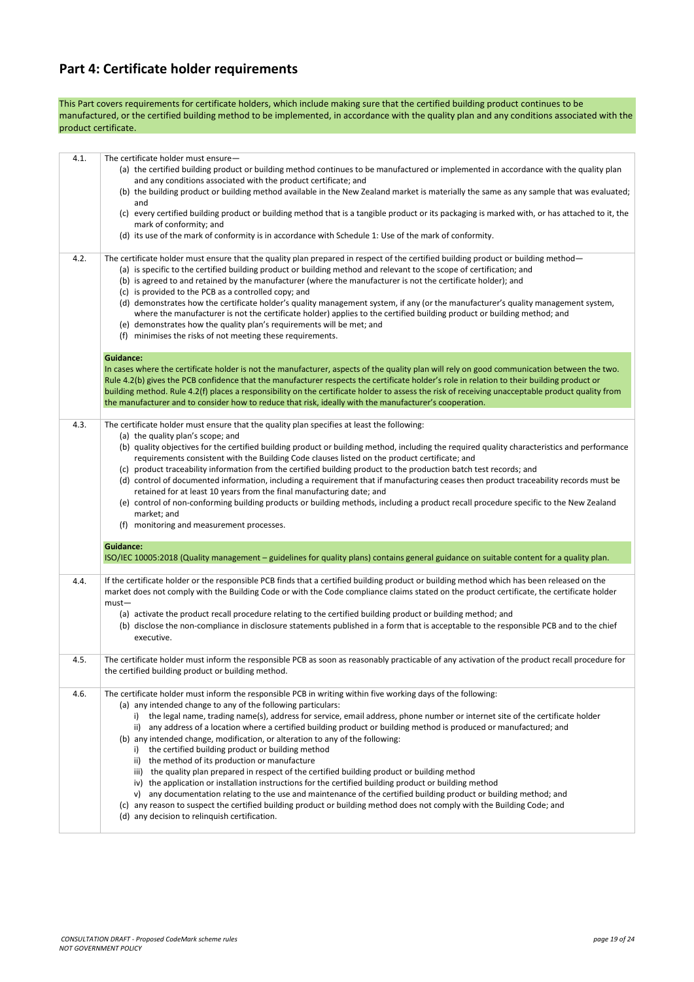## **Part 4: Certificate holder requirements**

This Part covers requirements for certificate holders, which include making sure that the certified building product continues to be manufactured, or the certified building method to be implemented, in accordance with the quality plan and any conditions associated with the product certificate.

<span id="page-18-2"></span><span id="page-18-1"></span><span id="page-18-0"></span>

| 4.1. | The certificate holder must ensure-<br>(a) the certified building product or building method continues to be manufactured or implemented in accordance with the quality plan<br>and any conditions associated with the product certificate; and<br>(b) the building product or building method available in the New Zealand market is materially the same as any sample that was evaluated;<br>and<br>(c) every certified building product or building method that is a tangible product or its packaging is marked with, or has attached to it, the<br>mark of conformity; and<br>(d) its use of the mark of conformity is in accordance with Schedule 1: Use of the mark of conformity.                                                                                                                                                                                                                                     |
|------|-------------------------------------------------------------------------------------------------------------------------------------------------------------------------------------------------------------------------------------------------------------------------------------------------------------------------------------------------------------------------------------------------------------------------------------------------------------------------------------------------------------------------------------------------------------------------------------------------------------------------------------------------------------------------------------------------------------------------------------------------------------------------------------------------------------------------------------------------------------------------------------------------------------------------------|
| 4.2. | The certificate holder must ensure that the quality plan prepared in respect of the certified building product or building method-<br>(a) is specific to the certified building product or building method and relevant to the scope of certification; and<br>(b) is agreed to and retained by the manufacturer (where the manufacturer is not the certificate holder); and<br>(c) is provided to the PCB as a controlled copy; and<br>(d) demonstrates how the certificate holder's quality management system, if any (or the manufacturer's quality management system,<br>where the manufacturer is not the certificate holder) applies to the certified building product or building method; and<br>(e) demonstrates how the quality plan's requirements will be met; and<br>(f) minimises the risks of not meeting these requirements.                                                                                    |
|      | <b>Guidance:</b><br>In cases where the certificate holder is not the manufacturer, aspects of the quality plan will rely on good communication between the two.<br>Rule 4.2(b) gives the PCB confidence that the manufacturer respects the certificate holder's role in relation to their building product or<br>building method. Rule 4.2(f) places a responsibility on the certificate holder to assess the risk of receiving unacceptable product quality from<br>the manufacturer and to consider how to reduce that risk, ideally with the manufacturer's cooperation.                                                                                                                                                                                                                                                                                                                                                   |
| 4.3. | The certificate holder must ensure that the quality plan specifies at least the following:<br>(a) the quality plan's scope; and<br>(b) quality objectives for the certified building product or building method, including the required quality characteristics and performance<br>requirements consistent with the Building Code clauses listed on the product certificate; and<br>(c) product traceability information from the certified building product to the production batch test records; and<br>(d) control of documented information, including a requirement that if manufacturing ceases then product traceability records must be<br>retained for at least 10 years from the final manufacturing date; and<br>(e) control of non-conforming building products or building methods, including a product recall procedure specific to the New Zealand<br>market; and<br>(f) monitoring and measurement processes. |
|      | <b>Guidance:</b><br>ISO/IEC 10005:2018 (Quality management - guidelines for quality plans) contains general guidance on suitable content for a quality plan.                                                                                                                                                                                                                                                                                                                                                                                                                                                                                                                                                                                                                                                                                                                                                                  |
| 4.4. | If the certificate holder or the responsible PCB finds that a certified building product or building method which has been released on the<br>market does not comply with the Building Code or with the Code compliance claims stated on the product certificate, the certificate holder<br>$must-$<br>(a) activate the product recall procedure relating to the certified building product or building method; and<br>(b) disclose the non-compliance in disclosure statements published in a form that is acceptable to the responsible PCB and to the chief<br>executive.                                                                                                                                                                                                                                                                                                                                                  |
| 4.5. | The certificate holder must inform the responsible PCB as soon as reasonably practicable of any activation of the product recall procedure for<br>the certified building product or building method.                                                                                                                                                                                                                                                                                                                                                                                                                                                                                                                                                                                                                                                                                                                          |
| 4.6. | The certificate holder must inform the responsible PCB in writing within five working days of the following:<br>(a) any intended change to any of the following particulars:<br>the legal name, trading name(s), address for service, email address, phone number or internet site of the certificate holder<br>i)<br>any address of a location where a certified building product or building method is produced or manufactured; and<br>ii)<br>(b) any intended change, modification, or alteration to any of the following:                                                                                                                                                                                                                                                                                                                                                                                                |

- (b) any intended change, modification, or alteration to any of the following:
	- i) the certified building product or building method
	- ii) the method of its production or manufacture
	- iii) the quality plan prepared in respect of the certified building product or building method
	- iv) the application or installation instructions for the certified building product or building method
	- v) any documentation relating to the use and maintenance of the certified building product or building method; and
- (c) any reason to suspect the certified building product or building method does not comply with the Building Code; and (d) any decision to relinquish certification.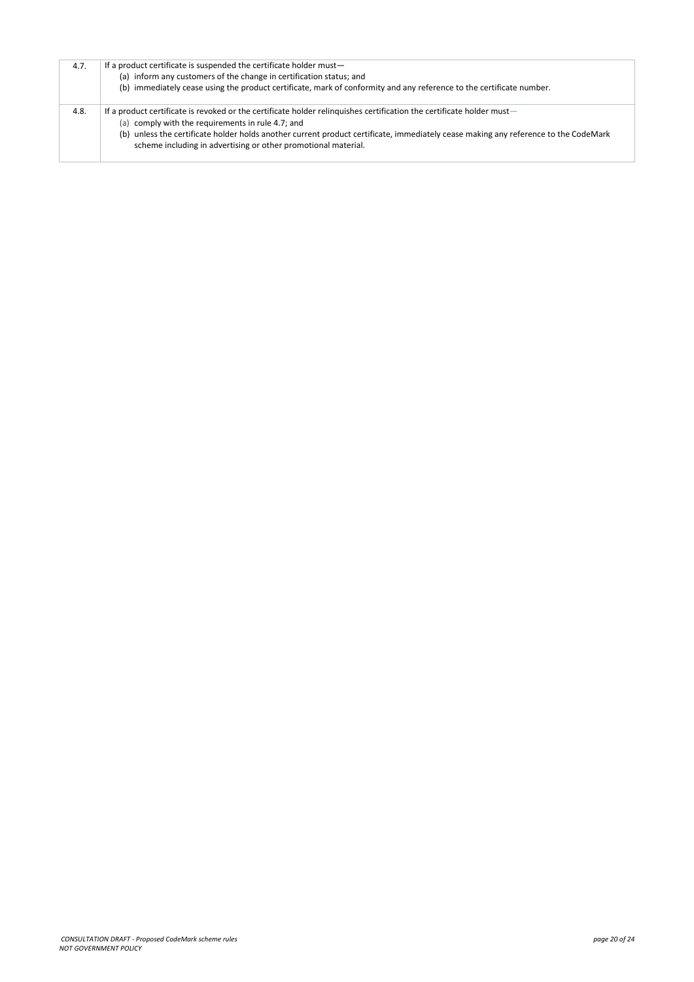*CONSULTATION DRAFT - Proposed CodeMark scheme rules page 20 of 24 NOT GOVERNMENT POLICY*

<span id="page-19-0"></span>

| 4.7. | If a product certificate is suspended the certificate holder must-<br>(a) inform any customers of the change in certification status; and<br>(b) immediately cease using the product certificate, mark of conformity and any reference to the certificate number.                                                                                                                   |
|------|-------------------------------------------------------------------------------------------------------------------------------------------------------------------------------------------------------------------------------------------------------------------------------------------------------------------------------------------------------------------------------------|
| 4.8. | If a product certificate is revoked or the certificate holder relinquishes certification the certificate holder must-<br>(a) comply with the requirements in rule 4.7; and<br>(b) unless the certificate holder holds another current product certificate, immediately cease making any reference to the CodeMark<br>scheme including in advertising or other promotional material. |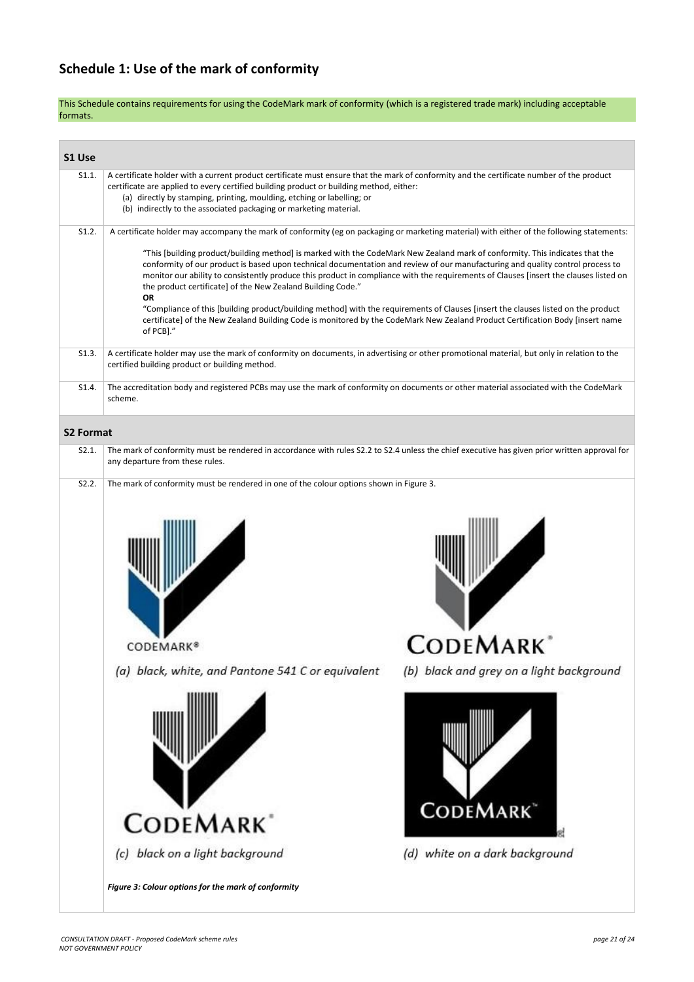# **Schedule 1: Use of the mark of conformity**

This Schedule contains requirements for using the CodeMark mark of conformity (which is a registered trade mark) including acceptable formats.

| S1 Use           |                                                                                                                                                                                                                                                                                                                                                                                                                                                                                     |                                                               |  |
|------------------|-------------------------------------------------------------------------------------------------------------------------------------------------------------------------------------------------------------------------------------------------------------------------------------------------------------------------------------------------------------------------------------------------------------------------------------------------------------------------------------|---------------------------------------------------------------|--|
| S1.1.            | A certificate holder with a current product certificate must ensure that the mark of conformity and the certificate number of the product<br>certificate are applied to every certified building product or building method, either:<br>(a) directly by stamping, printing, moulding, etching or labelling; or<br>(b) indirectly to the associated packaging or marketing material.                                                                                                 |                                                               |  |
| S1.2.            | A certificate holder may accompany the mark of conformity (eg on packaging or marketing material) with either of the following statements:                                                                                                                                                                                                                                                                                                                                          |                                                               |  |
|                  | "This [building product/building method] is marked with the CodeMark New Zealand mark of conformity. This indicates that the<br>conformity of our product is based upon technical documentation and review of our manufacturing and quality control process to<br>monitor our ability to consistently produce this product in compliance with the requirements of Clauses [insert the clauses listed on<br>the product certificate] of the New Zealand Building Code."<br><b>OR</b> |                                                               |  |
|                  | "Compliance of this [building product/building method] with the requirements of Clauses [insert the clauses listed on the product<br>certificate] of the New Zealand Building Code is monitored by the CodeMark New Zealand Product Certification Body [insert name<br>of PCB]."                                                                                                                                                                                                    |                                                               |  |
| S1.3.            | A certificate holder may use the mark of conformity on documents, in advertising or other promotional material, but only in relation to the<br>certified building product or building method.                                                                                                                                                                                                                                                                                       |                                                               |  |
| S1.4.            | The accreditation body and registered PCBs may use the mark of conformity on documents or other material associated with the CodeMark<br>scheme.                                                                                                                                                                                                                                                                                                                                    |                                                               |  |
| <b>S2 Format</b> |                                                                                                                                                                                                                                                                                                                                                                                                                                                                                     |                                                               |  |
| S2.1.            | The mark of conformity must be rendered in accordance with rules S2.2 to S2.4 unless the chief executive has given prior written approval for<br>any departure from these rules.                                                                                                                                                                                                                                                                                                    |                                                               |  |
| S2.2.            | The mark of conformity must be rendered in one of the colour options shown in Figure 3.<br><b>CODEMARK®</b><br>(a) black, white, and Pantone 541 C or equivalent                                                                                                                                                                                                                                                                                                                    | <b>CODEMARK</b> *<br>(b) black and grey on a light background |  |
|                  |                                                                                                                                                                                                                                                                                                                                                                                                                                                                                     |                                                               |  |

<span id="page-20-0"></span>![](_page_20_Picture_3.jpeg)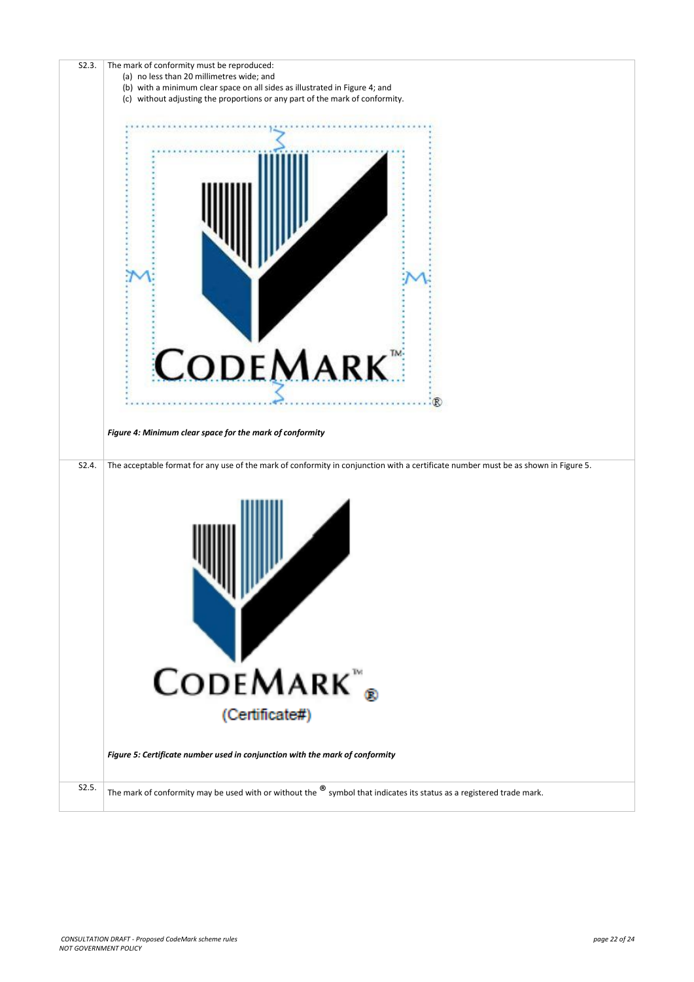![](_page_21_Picture_0.jpeg)

<span id="page-21-0"></span>

|       | Figure 5: Certificate number used in conjunction with the mark of conformity                                                       |
|-------|------------------------------------------------------------------------------------------------------------------------------------|
| S2.5. | The mark of conformity may be used with or without the $^{\circledR}$ symbol that indicates its status as a registered trade mark. |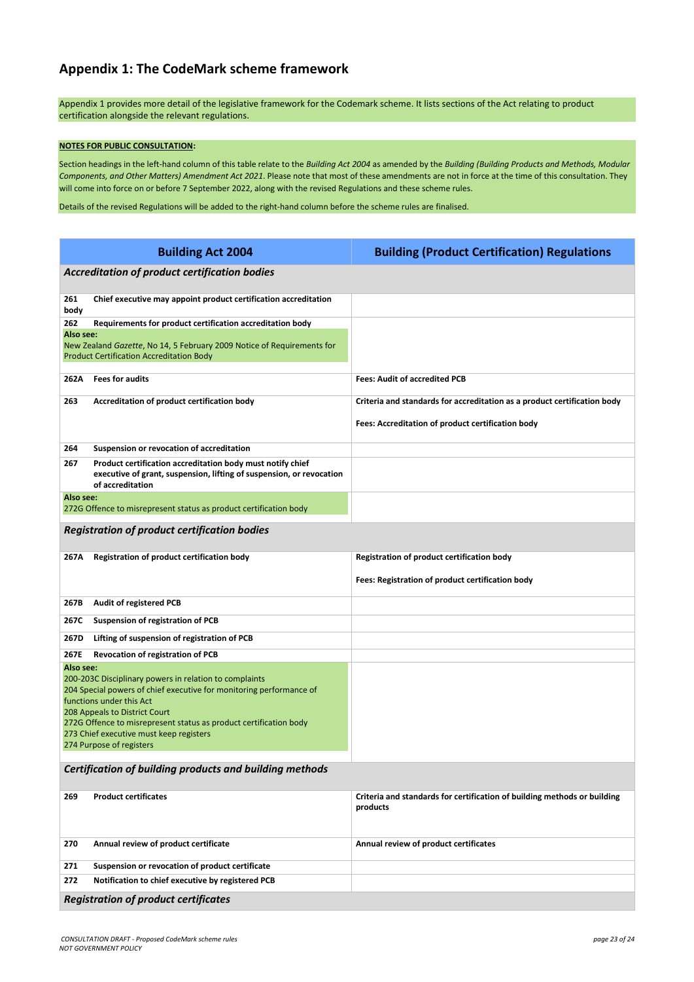## **Appendix 1: The CodeMark scheme framework**

Appendix 1 provides more detail of the legislative framework for the Codemark scheme. It lists sections of the Act relating to product certification alongside the relevant regulations.

#### **NOTES FOR PUBLIC CONSULTATION:**

Section headings in the left-hand column of this table relate to the *Building Act 2004* as amended by the *Building (Building Products and Methods, Modular Components, and Other Matters) Amendment Act 2021*. Please note that most of these amendments are not in force at the time of this consultation. They will come into force on or before 7 September 2022, along with the revised Regulations and these scheme rules.

Details of the revised Regulations will be added to the right-hand column before the scheme rules are finalised.

|                                                                                                                                                                                                                                                                                                                                                     | <b>Building Act 2004</b>                                                                                                                               | <b>Building (Product Certification) Regulations</b>                                                                           |  |  |
|-----------------------------------------------------------------------------------------------------------------------------------------------------------------------------------------------------------------------------------------------------------------------------------------------------------------------------------------------------|--------------------------------------------------------------------------------------------------------------------------------------------------------|-------------------------------------------------------------------------------------------------------------------------------|--|--|
|                                                                                                                                                                                                                                                                                                                                                     | Accreditation of product certification bodies                                                                                                          |                                                                                                                               |  |  |
| 261<br>body                                                                                                                                                                                                                                                                                                                                         | Chief executive may appoint product certification accreditation                                                                                        |                                                                                                                               |  |  |
| 262<br>Also see:                                                                                                                                                                                                                                                                                                                                    | Requirements for product certification accreditation body                                                                                              |                                                                                                                               |  |  |
|                                                                                                                                                                                                                                                                                                                                                     | New Zealand Gazette, No 14, 5 February 2009 Notice of Requirements for<br><b>Product Certification Accreditation Body</b>                              |                                                                                                                               |  |  |
| 262A                                                                                                                                                                                                                                                                                                                                                | <b>Fees for audits</b>                                                                                                                                 | <b>Fees: Audit of accredited PCB</b>                                                                                          |  |  |
| 263                                                                                                                                                                                                                                                                                                                                                 | Accreditation of product certification body                                                                                                            | Criteria and standards for accreditation as a product certification body<br>Fees: Accreditation of product certification body |  |  |
| 264                                                                                                                                                                                                                                                                                                                                                 | Suspension or revocation of accreditation                                                                                                              |                                                                                                                               |  |  |
| 267                                                                                                                                                                                                                                                                                                                                                 | Product certification accreditation body must notify chief<br>executive of grant, suspension, lifting of suspension, or revocation<br>of accreditation |                                                                                                                               |  |  |
| Also see:                                                                                                                                                                                                                                                                                                                                           | 272G Offence to misrepresent status as product certification body                                                                                      |                                                                                                                               |  |  |
|                                                                                                                                                                                                                                                                                                                                                     | <b>Registration of product certification bodies</b>                                                                                                    |                                                                                                                               |  |  |
| 267A                                                                                                                                                                                                                                                                                                                                                | Registration of product certification body                                                                                                             | Registration of product certification body                                                                                    |  |  |
|                                                                                                                                                                                                                                                                                                                                                     |                                                                                                                                                        | Fees: Registration of product certification body                                                                              |  |  |
| 267B                                                                                                                                                                                                                                                                                                                                                | <b>Audit of registered PCB</b>                                                                                                                         |                                                                                                                               |  |  |
| 267C                                                                                                                                                                                                                                                                                                                                                | <b>Suspension of registration of PCB</b>                                                                                                               |                                                                                                                               |  |  |
| 267D                                                                                                                                                                                                                                                                                                                                                | Lifting of suspension of registration of PCB                                                                                                           |                                                                                                                               |  |  |
| 267E                                                                                                                                                                                                                                                                                                                                                | <b>Revocation of registration of PCB</b>                                                                                                               |                                                                                                                               |  |  |
| Also see:<br>200-203C Disciplinary powers in relation to complaints<br>204 Special powers of chief executive for monitoring performance of<br>functions under this Act<br>208 Appeals to District Court<br>272G Offence to misrepresent status as product certification body<br>273 Chief executive must keep registers<br>274 Purpose of registers |                                                                                                                                                        |                                                                                                                               |  |  |
| <b>Certification of building products and building methods</b>                                                                                                                                                                                                                                                                                      |                                                                                                                                                        |                                                                                                                               |  |  |
| 269                                                                                                                                                                                                                                                                                                                                                 | <b>Product certificates</b>                                                                                                                            | Criteria and standards for certification of building methods or building<br>products                                          |  |  |
| 270                                                                                                                                                                                                                                                                                                                                                 | Annual review of product certificate                                                                                                                   | Annual review of product certificates                                                                                         |  |  |
| 271                                                                                                                                                                                                                                                                                                                                                 | Suspension or revocation of product certificate                                                                                                        |                                                                                                                               |  |  |
|                                                                                                                                                                                                                                                                                                                                                     |                                                                                                                                                        |                                                                                                                               |  |  |
| 272                                                                                                                                                                                                                                                                                                                                                 | Notification to chief executive by registered PCB                                                                                                      |                                                                                                                               |  |  |